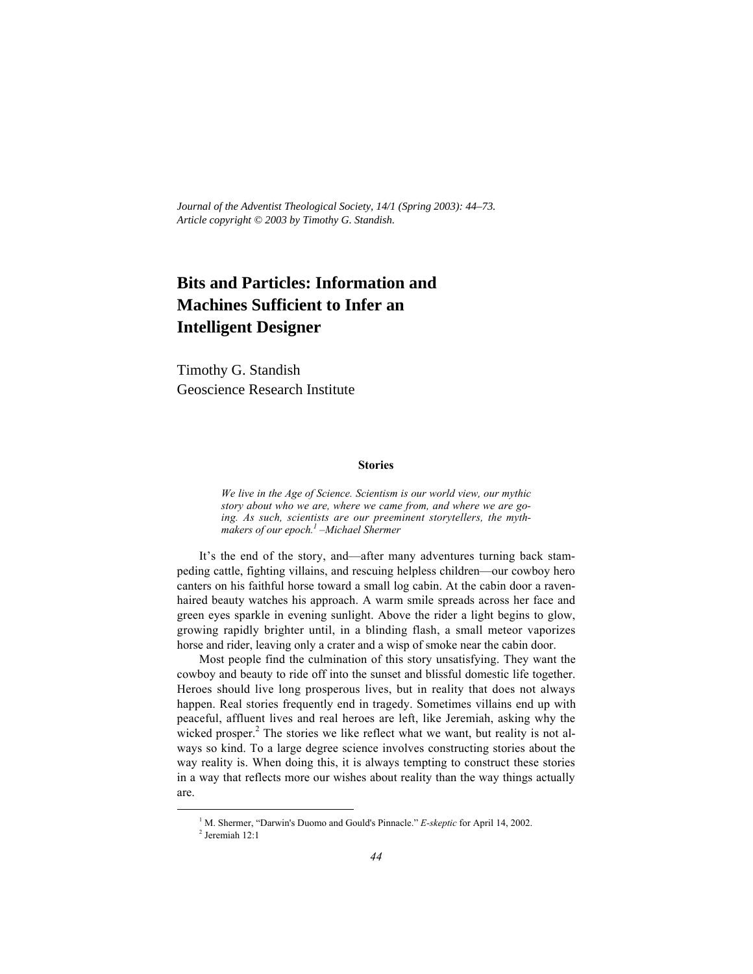*Journal of the Adventist Theological Society, 14/1 (Spring 2003): 44–73. Article copyright © 2003 by Timothy G. Standish.*

# **Bits and Particles: Information and Machines Sufficient to Infer an Intelligent Designer**

Timothy G. Standish Geoscience Research Institute

# **Stories**

*We live in the Age of Science. Scientism is our world view, our mythic story about who we are, where we came from, and where we are going. As such, scientists are our preeminent storytellers, the mythmakers of our epoch.1 –Michael Shermer*

It's the end of the story, and—after many adventures turning back stampeding cattle, fighting villains, and rescuing helpless children—our cowboy hero canters on his faithful horse toward a small log cabin. At the cabin door a ravenhaired beauty watches his approach. A warm smile spreads across her face and green eyes sparkle in evening sunlight. Above the rider a light begins to glow, growing rapidly brighter until, in a blinding flash, a small meteor vaporizes horse and rider, leaving only a crater and a wisp of smoke near the cabin door.

Most people find the culmination of this story unsatisfying. They want the cowboy and beauty to ride off into the sunset and blissful domestic life together. Heroes should live long prosperous lives, but in reality that does not always happen. Real stories frequently end in tragedy. Sometimes villains end up with peaceful, affluent lives and real heroes are left, like Jeremiah, asking why the wicked prosper.<sup>2</sup> The stories we like reflect what we want, but reality is not always so kind. To a large degree science involves constructing stories about the way reality is. When doing this, it is always tempting to construct these stories in a way that reflects more our wishes about reality than the way things actually are.

 $\frac{1}{1}$ <sup>1</sup> M. Shermer, "Darwin's Duomo and Gould's Pinnacle." *E-skeptic* for April 14, 2002.

 $2$  Jeremiah 12:1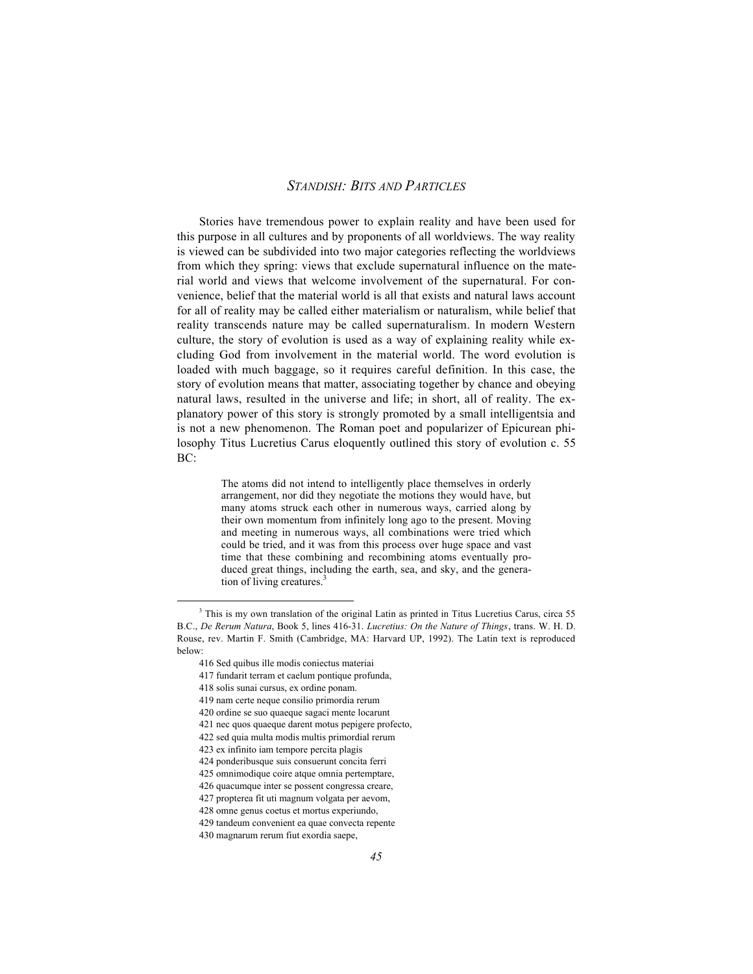Stories have tremendous power to explain reality and have been used for this purpose in all cultures and by proponents of all worldviews. The way reality is viewed can be subdivided into two major categories reflecting the worldviews from which they spring: views that exclude supernatural influence on the material world and views that welcome involvement of the supernatural. For convenience, belief that the material world is all that exists and natural laws account for all of reality may be called either materialism or naturalism, while belief that reality transcends nature may be called supernaturalism. In modern Western culture, the story of evolution is used as a way of explaining reality while excluding God from involvement in the material world. The word evolution is loaded with much baggage, so it requires careful definition. In this case, the story of evolution means that matter, associating together by chance and obeying natural laws, resulted in the universe and life; in short, all of reality. The explanatory power of this story is strongly promoted by a small intelligentsia and is not a new phenomenon. The Roman poet and popularizer of Epicurean philosophy Titus Lucretius Carus eloquently outlined this story of evolution c. 55 BC:

> The atoms did not intend to intelligently place themselves in orderly arrangement, nor did they negotiate the motions they would have, but many atoms struck each other in numerous ways, carried along by their own momentum from infinitely long ago to the present. Moving and meeting in numerous ways, all combinations were tried which could be tried, and it was from this process over huge space and vast time that these combining and recombining atoms eventually produced great things, including the earth, sea, and sky, and the generation of living creatures.<sup>3</sup>

 $\overline{\phantom{a}}$ <sup>3</sup> This is my own translation of the original Latin as printed in Titus Lucretius Carus, circa 55 B.C., *De Rerum Natura*, Book 5, lines 416-31. *Lucretius: On the Nature of Things*, trans. W. H. D. Rouse, rev. Martin F. Smith (Cambridge, MA: Harvard UP, 1992). The Latin text is reproduced below:

<sup>416</sup> Sed quibus ille modis coniectus materiai

<sup>417</sup> fundarit terram et caelum pontique profunda,

<sup>418</sup> solis sunai cursus, ex ordine ponam.

<sup>419</sup> nam certe neque consilio primordia rerum

<sup>420</sup> ordine se suo quaeque sagaci mente locarunt

<sup>421</sup> nec quos quaeque darent motus pepigere profecto,

<sup>422</sup> sed quia multa modis multis primordial rerum

<sup>423</sup> ex infinito iam tempore percita plagis

<sup>424</sup> ponderibusque suis consuerunt concita ferri

<sup>425</sup> omnimodique coire atque omnia pertemptare,

<sup>426</sup> quacumque inter se possent congressa creare,

<sup>427</sup> propterea fit uti magnum volgata per aevom,

<sup>428</sup> omne genus coetus et mortus experiundo,

<sup>429</sup> tandeum convenient ea quae convecta repente

<sup>430</sup> magnarum rerum fiut exordia saepe,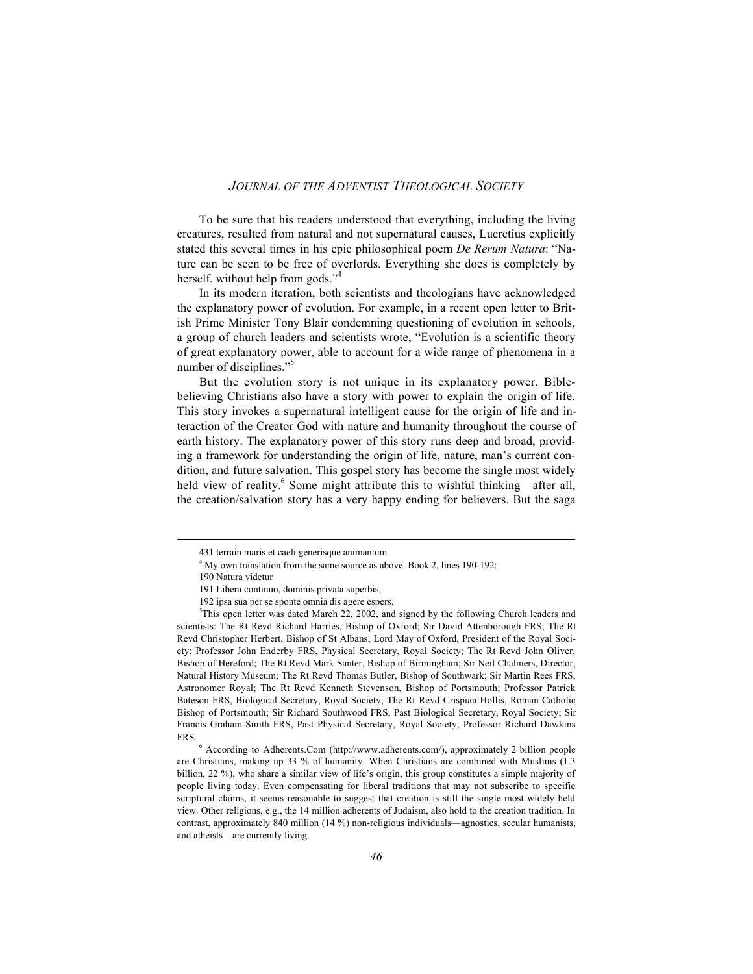To be sure that his readers understood that everything, including the living creatures, resulted from natural and not supernatural causes, Lucretius explicitly stated this several times in his epic philosophical poem *De Rerum Natura*: "Nature can be seen to be free of overlords. Everything she does is completely by herself, without help from gods."<sup>4</sup>

In its modern iteration, both scientists and theologians have acknowledged the explanatory power of evolution. For example, in a recent open letter to British Prime Minister Tony Blair condemning questioning of evolution in schools, a group of church leaders and scientists wrote, "Evolution is a scientific theory of great explanatory power, able to account for a wide range of phenomena in a number of disciplines."<sup>5</sup>

But the evolution story is not unique in its explanatory power. Biblebelieving Christians also have a story with power to explain the origin of life. This story invokes a supernatural intelligent cause for the origin of life and interaction of the Creator God with nature and humanity throughout the course of earth history. The explanatory power of this story runs deep and broad, providing a framework for understanding the origin of life, nature, man's current condition, and future salvation. This gospel story has become the single most widely held view of reality.<sup>6</sup> Some might attribute this to wishful thinking—after all. the creation/salvation story has a very happy ending for believers. But the saga

 $\overline{a}$ 

<sup>431</sup> terrain maris et caeli generisque animantum.

<sup>&</sup>lt;sup>4</sup> My own translation from the same source as above. Book 2, lines 190-192:

<sup>190</sup> Natura videtur

<sup>191</sup> Libera continuo, dominis privata superbis,

<sup>192</sup> ipsa sua per se sponte omnia dis agere espers.

<sup>&</sup>lt;sup>5</sup>This open letter was dated March 22, 2002, and signed by the following Church leaders and scientists: The Rt Revd Richard Harries, Bishop of Oxford; Sir David Attenborough FRS; The Rt Revd Christopher Herbert, Bishop of St Albans; Lord May of Oxford, President of the Royal Society; Professor John Enderby FRS, Physical Secretary, Royal Society; The Rt Revd John Oliver, Bishop of Hereford; The Rt Revd Mark Santer, Bishop of Birmingham; Sir Neil Chalmers, Director, Natural History Museum; The Rt Revd Thomas Butler, Bishop of Southwark; Sir Martin Rees FRS, Astronomer Royal; The Rt Revd Kenneth Stevenson, Bishop of Portsmouth; Professor Patrick Bateson FRS, Biological Secretary, Royal Society; The Rt Revd Crispian Hollis, Roman Catholic Bishop of Portsmouth; Sir Richard Southwood FRS, Past Biological Secretary, Royal Society; Sir Francis Graham-Smith FRS, Past Physical Secretary, Royal Society; Professor Richard Dawkins FRS.

<sup>6</sup> According to Adherents.Com (http://www.adherents.com/), approximately 2 billion people are Christians, making up 33 % of humanity. When Christians are combined with Muslims (1.3 billion, 22 %), who share a similar view of life's origin, this group constitutes a simple majority of people living today. Even compensating for liberal traditions that may not subscribe to specific scriptural claims, it seems reasonable to suggest that creation is still the single most widely held view. Other religions, e.g., the 14 million adherents of Judaism, also hold to the creation tradition. In contrast, approximately 840 million (14 %) non-religious individuals—agnostics, secular humanists, and atheists—are currently living.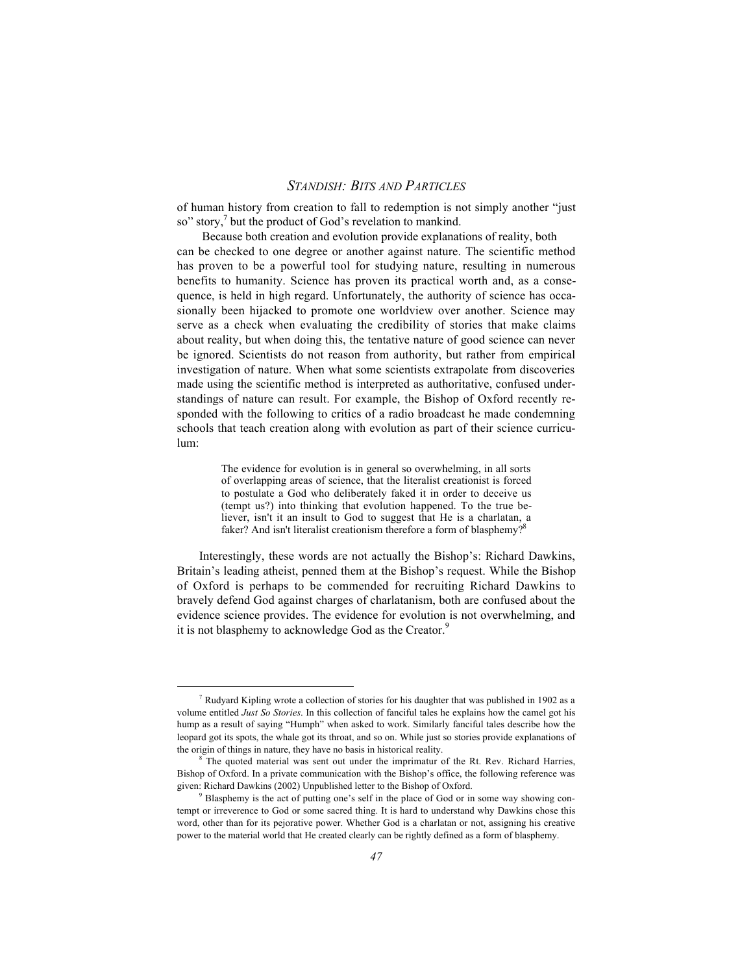of human history from creation to fall to redemption is not simply another "just so" story.<sup>7</sup> but the product of God's revelation to mankind.

 Because both creation and evolution provide explanations of reality, both can be checked to one degree or another against nature. The scientific method has proven to be a powerful tool for studying nature, resulting in numerous benefits to humanity. Science has proven its practical worth and, as a consequence, is held in high regard. Unfortunately, the authority of science has occasionally been hijacked to promote one worldview over another. Science may serve as a check when evaluating the credibility of stories that make claims about reality, but when doing this, the tentative nature of good science can never be ignored. Scientists do not reason from authority, but rather from empirical investigation of nature. When what some scientists extrapolate from discoveries made using the scientific method is interpreted as authoritative, confused understandings of nature can result. For example, the Bishop of Oxford recently responded with the following to critics of a radio broadcast he made condemning schools that teach creation along with evolution as part of their science curriculum:

> The evidence for evolution is in general so overwhelming, in all sorts of overlapping areas of science, that the literalist creationist is forced to postulate a God who deliberately faked it in order to deceive us (tempt us?) into thinking that evolution happened. To the true believer, isn't it an insult to God to suggest that He is a charlatan, a faker? And isn't literalist creationism therefore a form of blasphemy?<sup>8</sup>

Interestingly, these words are not actually the Bishop's: Richard Dawkins, Britain's leading atheist, penned them at the Bishop's request. While the Bishop of Oxford is perhaps to be commended for recruiting Richard Dawkins to bravely defend God against charges of charlatanism, both are confused about the evidence science provides. The evidence for evolution is not overwhelming, and it is not blasphemy to acknowledge God as the Creator.<sup>9</sup>

 $\frac{1}{7}$ Rudyard Kipling wrote a collection of stories for his daughter that was published in 1902 as a volume entitled *Just So Stories*. In this collection of fanciful tales he explains how the camel got his hump as a result of saying "Humph" when asked to work. Similarly fanciful tales describe how the leopard got its spots, the whale got its throat, and so on. While just so stories provide explanations of the origin of things in nature, they have no basis in historical reality.

<sup>8</sup> The quoted material was sent out under the imprimatur of the Rt. Rev. Richard Harries, Bishop of Oxford. In a private communication with the Bishop's office, the following reference was given: Richard Dawkins (2002) Unpublished letter to the Bishop of Oxford.

<sup>&</sup>lt;sup>9</sup> Blasphemy is the act of putting one's self in the place of God or in some way showing contempt or irreverence to God or some sacred thing. It is hard to understand why Dawkins chose this word, other than for its pejorative power. Whether God is a charlatan or not, assigning his creative power to the material world that He created clearly can be rightly defined as a form of blasphemy.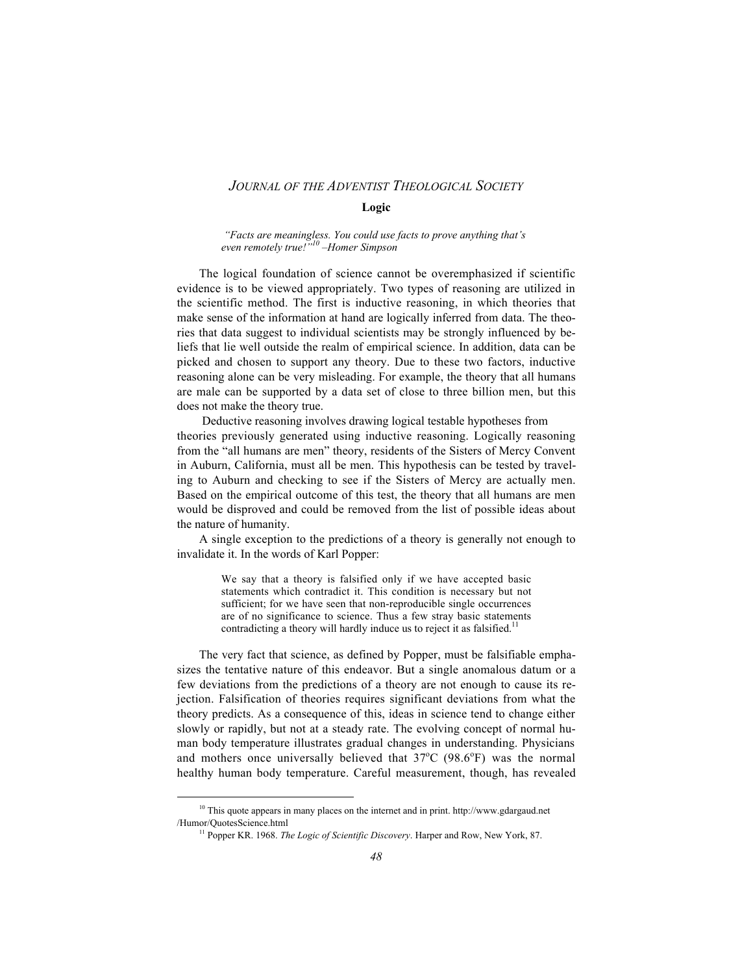#### **Logic**

 *"Facts are meaningless. You could use facts to prove anything that's even remotely true!"10 –Homer Simpson*

The logical foundation of science cannot be overemphasized if scientific evidence is to be viewed appropriately. Two types of reasoning are utilized in the scientific method. The first is inductive reasoning, in which theories that make sense of the information at hand are logically inferred from data. The theories that data suggest to individual scientists may be strongly influenced by beliefs that lie well outside the realm of empirical science. In addition, data can be picked and chosen to support any theory. Due to these two factors, inductive reasoning alone can be very misleading. For example, the theory that all humans are male can be supported by a data set of close to three billion men, but this does not make the theory true.

 Deductive reasoning involves drawing logical testable hypotheses from theories previously generated using inductive reasoning. Logically reasoning from the "all humans are men" theory, residents of the Sisters of Mercy Convent in Auburn, California, must all be men. This hypothesis can be tested by traveling to Auburn and checking to see if the Sisters of Mercy are actually men. Based on the empirical outcome of this test, the theory that all humans are men would be disproved and could be removed from the list of possible ideas about the nature of humanity.

A single exception to the predictions of a theory is generally not enough to invalidate it. In the words of Karl Popper:

> We say that a theory is falsified only if we have accepted basic statements which contradict it. This condition is necessary but not sufficient; for we have seen that non-reproducible single occurrences are of no significance to science. Thus a few stray basic statements contradicting a theory will hardly induce us to reject it as falsified.<sup>11</sup>

The very fact that science, as defined by Popper, must be falsifiable emphasizes the tentative nature of this endeavor. But a single anomalous datum or a few deviations from the predictions of a theory are not enough to cause its rejection. Falsification of theories requires significant deviations from what the theory predicts. As a consequence of this, ideas in science tend to change either slowly or rapidly, but not at a steady rate. The evolving concept of normal human body temperature illustrates gradual changes in understanding. Physicians and mothers once universally believed that  $37^{\circ}$ C (98.6°F) was the normal healthy human body temperature. Careful measurement, though, has revealed

10 This quote appears in many places on the internet and in print. http://www.gdargaud.net /Humor/QuotesScience.html

<sup>&</sup>lt;sup>11</sup> Popper KR. 1968. *The Logic of Scientific Discovery*. Harper and Row, New York, 87.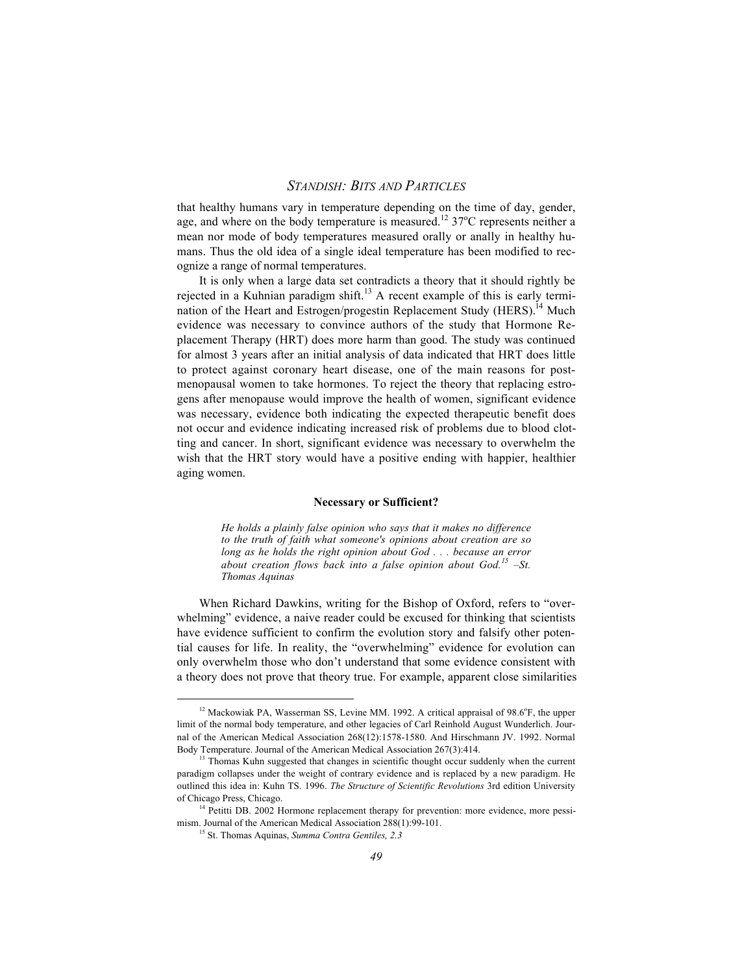that healthy humans vary in temperature depending on the time of day, gender, age, and where on the body temperature is measured.<sup>12</sup> 37<sup>o</sup>C represents neither a mean nor mode of body temperatures measured orally or anally in healthy humans. Thus the old idea of a single ideal temperature has been modified to recognize a range of normal temperatures.

It is only when a large data set contradicts a theory that it should rightly be rejected in a Kuhnian paradigm shift.<sup>13</sup> A recent example of this is early termination of the Heart and Estrogen/progestin Replacement Study (HERS).<sup>14</sup> Much evidence was necessary to convince authors of the study that Hormone Replacement Therapy (HRT) does more harm than good. The study was continued for almost 3 years after an initial analysis of data indicated that HRT does little to protect against coronary heart disease, one of the main reasons for postmenopausal women to take hormones. To reject the theory that replacing estrogens after menopause would improve the health of women, significant evidence was necessary, evidence both indicating the expected therapeutic benefit does not occur and evidence indicating increased risk of problems due to blood clotting and cancer. In short, significant evidence was necessary to overwhelm the wish that the HRT story would have a positive ending with happier, healthier aging women.

#### **Necessary or Sufficient?**

*He holds a plainly false opinion who says that it makes no difference to the truth of faith what someone's opinions about creation are so long as he holds the right opinion about God . . . because an error about creation flows back into a false opinion about God.15 –St. Thomas Aquinas*

When Richard Dawkins, writing for the Bishop of Oxford, refers to "overwhelming" evidence, a naive reader could be excused for thinking that scientists have evidence sufficient to confirm the evolution story and falsify other potential causes for life. In reality, the "overwhelming" evidence for evolution can only overwhelm those who don't understand that some evidence consistent with a theory does not prove that theory true. For example, apparent close similarities

<sup>&</sup>lt;sup>12</sup> Mackowiak PA, Wasserman SS, Levine MM, 1992. A critical appraisal of 98.6°F, the upper limit of the normal body temperature, and other legacies of Carl Reinhold August Wunderlich. Journal of the American Medical Association 268(12):1578-1580. And Hirschmann JV. 1992. Normal Body Temperature. Journal of the American Medical Association 267(3):414.

<sup>&</sup>lt;sup>13</sup> Thomas Kuhn suggested that changes in scientific thought occur suddenly when the current paradigm collapses under the weight of contrary evidence and is replaced by a new paradigm. He outlined this idea in: Kuhn TS. 1996. *The Structure of Scientific Revolutions* 3rd edition University of Chicago Press, Chicago.

<sup>&</sup>lt;sup>14</sup> Petitti DB. 2002 Hormone replacement therapy for prevention: more evidence, more pessimism. Journal of the American Medical Association 288(1):99-101.

<sup>15</sup> St. Thomas Aquinas, *Summa Contra Gentiles, 2.3*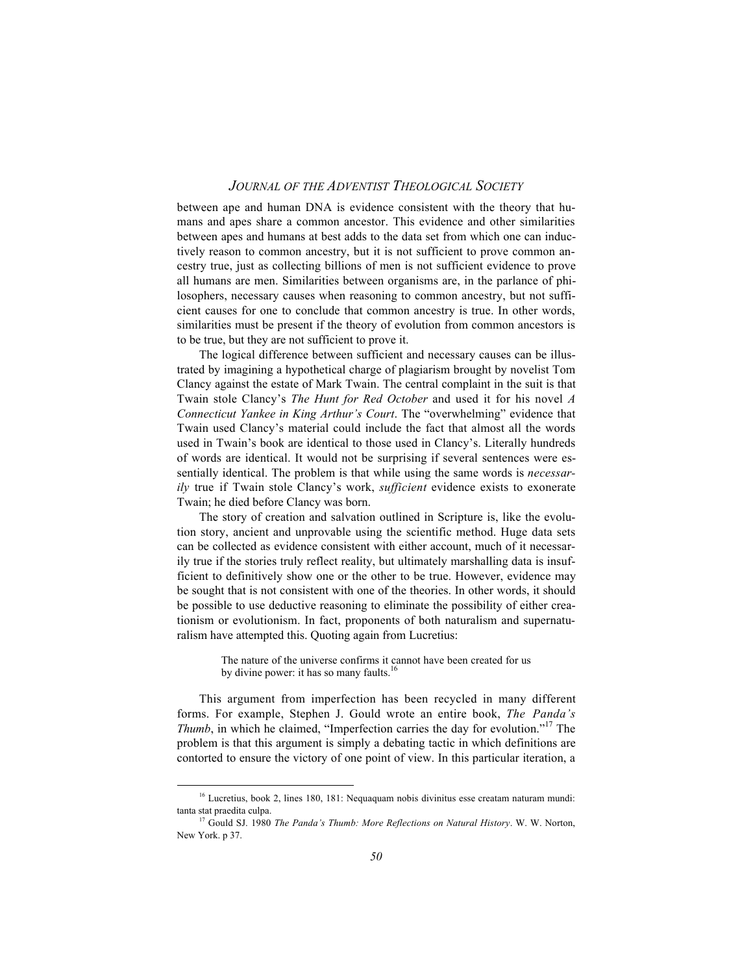between ape and human DNA is evidence consistent with the theory that humans and apes share a common ancestor. This evidence and other similarities between apes and humans at best adds to the data set from which one can inductively reason to common ancestry, but it is not sufficient to prove common ancestry true, just as collecting billions of men is not sufficient evidence to prove all humans are men. Similarities between organisms are, in the parlance of philosophers, necessary causes when reasoning to common ancestry, but not sufficient causes for one to conclude that common ancestry is true. In other words, similarities must be present if the theory of evolution from common ancestors is to be true, but they are not sufficient to prove it.

The logical difference between sufficient and necessary causes can be illustrated by imagining a hypothetical charge of plagiarism brought by novelist Tom Clancy against the estate of Mark Twain. The central complaint in the suit is that Twain stole Clancy's *The Hunt for Red October* and used it for his novel *A Connecticut Yankee in King Arthur's Court*. The "overwhelming" evidence that Twain used Clancy's material could include the fact that almost all the words used in Twain's book are identical to those used in Clancy's. Literally hundreds of words are identical. It would not be surprising if several sentences were essentially identical. The problem is that while using the same words is *necessarily* true if Twain stole Clancy's work, *sufficient* evidence exists to exonerate Twain; he died before Clancy was born.

The story of creation and salvation outlined in Scripture is, like the evolution story, ancient and unprovable using the scientific method. Huge data sets can be collected as evidence consistent with either account, much of it necessarily true if the stories truly reflect reality, but ultimately marshalling data is insufficient to definitively show one or the other to be true. However, evidence may be sought that is not consistent with one of the theories. In other words, it should be possible to use deductive reasoning to eliminate the possibility of either creationism or evolutionism. In fact, proponents of both naturalism and supernaturalism have attempted this. Quoting again from Lucretius:

> The nature of the universe confirms it cannot have been created for us by divine power: it has so many faults.<sup>16</sup>

This argument from imperfection has been recycled in many different forms. For example, Stephen J. Gould wrote an entire book, *The Panda's Thumb*, in which he claimed, "Imperfection carries the day for evolution."17 The problem is that this argument is simply a debating tactic in which definitions are contorted to ensure the victory of one point of view. In this particular iteration, a

<sup>&</sup>lt;sup>16</sup> Lucretius, book 2, lines 180, 181: Nequaquam nobis divinitus esse creatam naturam mundi: tanta stat praedita culpa.

<sup>&</sup>lt;sup>17</sup> Gould SJ. 1980 *The Panda's Thumb: More Reflections on Natural History*. W. W. Norton, New York. p 37.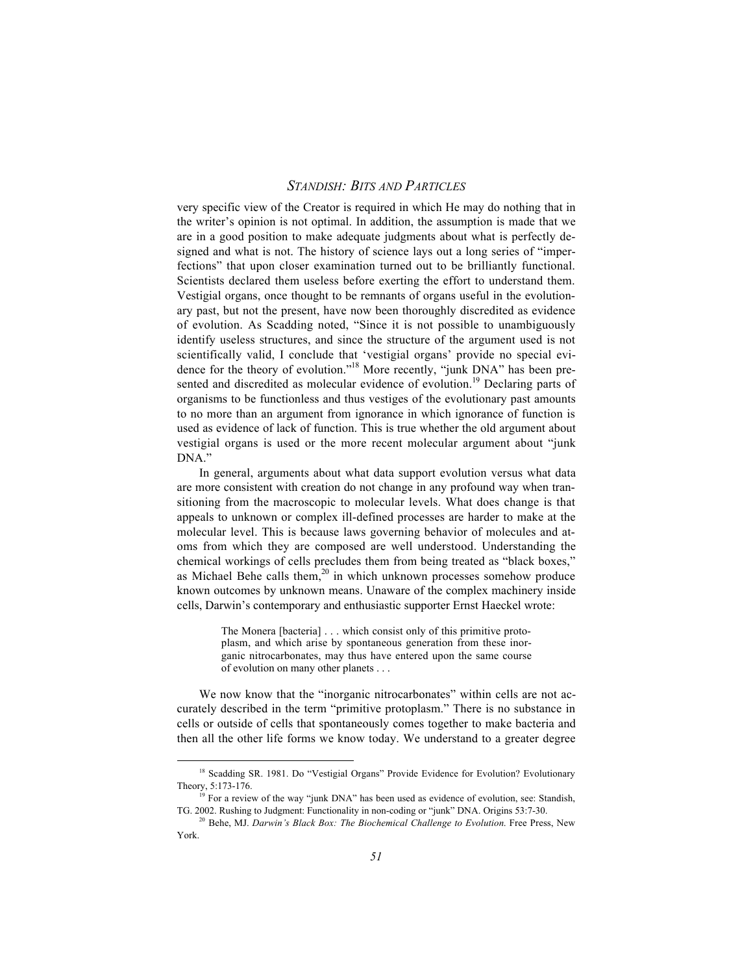very specific view of the Creator is required in which He may do nothing that in the writer's opinion is not optimal. In addition, the assumption is made that we are in a good position to make adequate judgments about what is perfectly designed and what is not. The history of science lays out a long series of "imperfections" that upon closer examination turned out to be brilliantly functional. Scientists declared them useless before exerting the effort to understand them. Vestigial organs, once thought to be remnants of organs useful in the evolutionary past, but not the present, have now been thoroughly discredited as evidence of evolution. As Scadding noted, "Since it is not possible to unambiguously identify useless structures, and since the structure of the argument used is not scientifically valid, I conclude that 'vestigial organs' provide no special evidence for the theory of evolution."<sup>18</sup> More recently, "junk DNA" has been presented and discredited as molecular evidence of evolution.<sup>19</sup> Declaring parts of organisms to be functionless and thus vestiges of the evolutionary past amounts to no more than an argument from ignorance in which ignorance of function is used as evidence of lack of function. This is true whether the old argument about vestigial organs is used or the more recent molecular argument about "junk DNA."

In general, arguments about what data support evolution versus what data are more consistent with creation do not change in any profound way when transitioning from the macroscopic to molecular levels. What does change is that appeals to unknown or complex ill-defined processes are harder to make at the molecular level. This is because laws governing behavior of molecules and atoms from which they are composed are well understood. Understanding the chemical workings of cells precludes them from being treated as "black boxes," as Michael Behe calls them, $20$  in which unknown processes somehow produce known outcomes by unknown means. Unaware of the complex machinery inside cells, Darwin's contemporary and enthusiastic supporter Ernst Haeckel wrote:

> The Monera [bacteria] . . . which consist only of this primitive protoplasm, and which arise by spontaneous generation from these inorganic nitrocarbonates, may thus have entered upon the same course of evolution on many other planets . . .

We now know that the "inorganic nitrocarbonates" within cells are not accurately described in the term "primitive protoplasm." There is no substance in cells or outside of cells that spontaneously comes together to make bacteria and then all the other life forms we know today. We understand to a greater degree

<sup>&</sup>lt;sup>18</sup> Scadding SR. 1981. Do "Vestigial Organs" Provide Evidence for Evolution? Evolutionary Theory, 5:173-176.

 $19$  For a review of the way "junk DNA" has been used as evidence of evolution, see: Standish, TG. 2002. Rushing to Judgment: Functionality in non-coding or "junk" DNA. Origins 53:7-30.

<sup>&</sup>lt;sup>20</sup> Behe, MJ. *Darwin's Black Box: The Biochemical Challenge to Evolution*. Free Press, New York.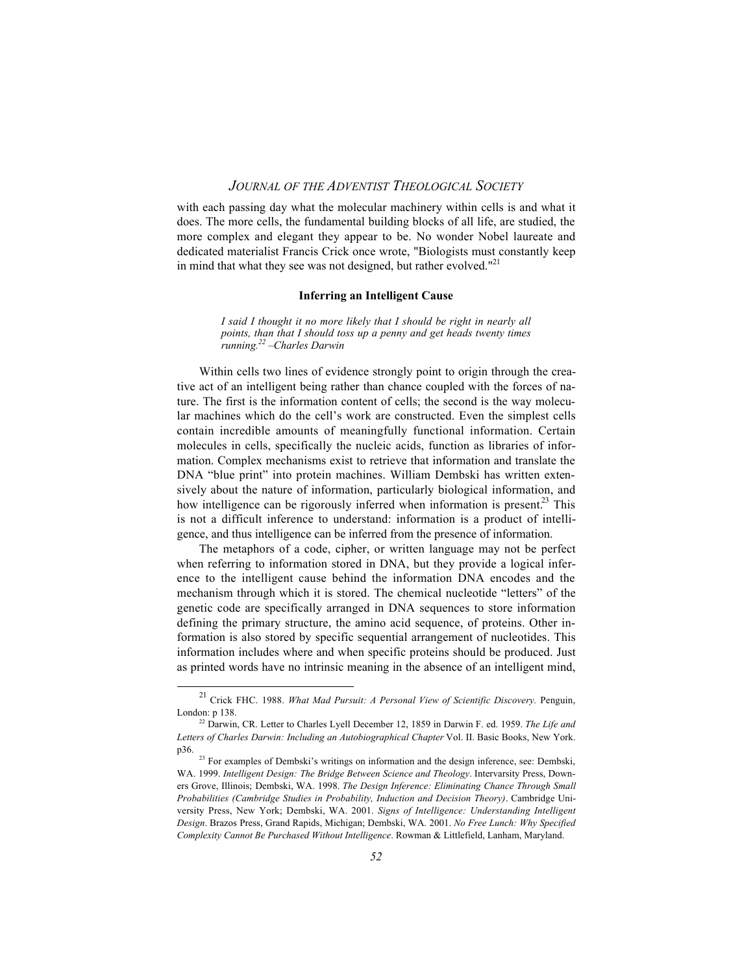with each passing day what the molecular machinery within cells is and what it does. The more cells, the fundamental building blocks of all life, are studied, the more complex and elegant they appear to be. No wonder Nobel laureate and dedicated materialist Francis Crick once wrote, "Biologists must constantly keep in mind that what they see was not designed, but rather evolved." $^{21}$ 

#### **Inferring an Intelligent Cause**

*I said I thought it no more likely that I should be right in nearly all points, than that I should toss up a penny and get heads twenty times running.22 –Charles Darwin*

Within cells two lines of evidence strongly point to origin through the creative act of an intelligent being rather than chance coupled with the forces of nature. The first is the information content of cells; the second is the way molecular machines which do the cell's work are constructed. Even the simplest cells contain incredible amounts of meaningfully functional information. Certain molecules in cells, specifically the nucleic acids, function as libraries of information. Complex mechanisms exist to retrieve that information and translate the DNA "blue print" into protein machines. William Dembski has written extensively about the nature of information, particularly biological information, and how intelligence can be rigorously inferred when information is present.<sup>23</sup> This is not a difficult inference to understand: information is a product of intelligence, and thus intelligence can be inferred from the presence of information.

The metaphors of a code, cipher, or written language may not be perfect when referring to information stored in DNA, but they provide a logical inference to the intelligent cause behind the information DNA encodes and the mechanism through which it is stored. The chemical nucleotide "letters" of the genetic code are specifically arranged in DNA sequences to store information defining the primary structure, the amino acid sequence, of proteins. Other information is also stored by specific sequential arrangement of nucleotides. This information includes where and when specific proteins should be produced. Just as printed words have no intrinsic meaning in the absence of an intelligent mind,

<sup>21</sup> Crick FHC. 1988. *What Mad Pursuit: A Personal View of Scientific Discovery.* Penguin, London: p 138.

<sup>22</sup> Darwin, CR. Letter to Charles Lyell December 12, 1859 in Darwin F. ed. 1959. *The Life and Letters of Charles Darwin: Including an Autobiographical Chapter* Vol. II. Basic Books, New York. p36.

<sup>&</sup>lt;sup>23</sup> For examples of Dembski's writings on information and the design inference, see: Dembski, WA. 1999. *Intelligent Design: The Bridge Between Science and Theology*. Intervarsity Press, Downers Grove, Illinois; Dembski, WA. 1998. *The Design Inference: Eliminating Chance Through Small Probabilities (Cambridge Studies in Probability, Induction and Decision Theory)*. Cambridge University Press, New York; Dembski, WA. 2001. *Signs of Intelligence: Understanding Intelligent Design*. Brazos Press, Grand Rapids, Michigan; Dembski, WA. 2001. *No Free Lunch: Why Specified Complexity Cannot Be Purchased Without Intelligence*. Rowman & Littlefield, Lanham, Maryland.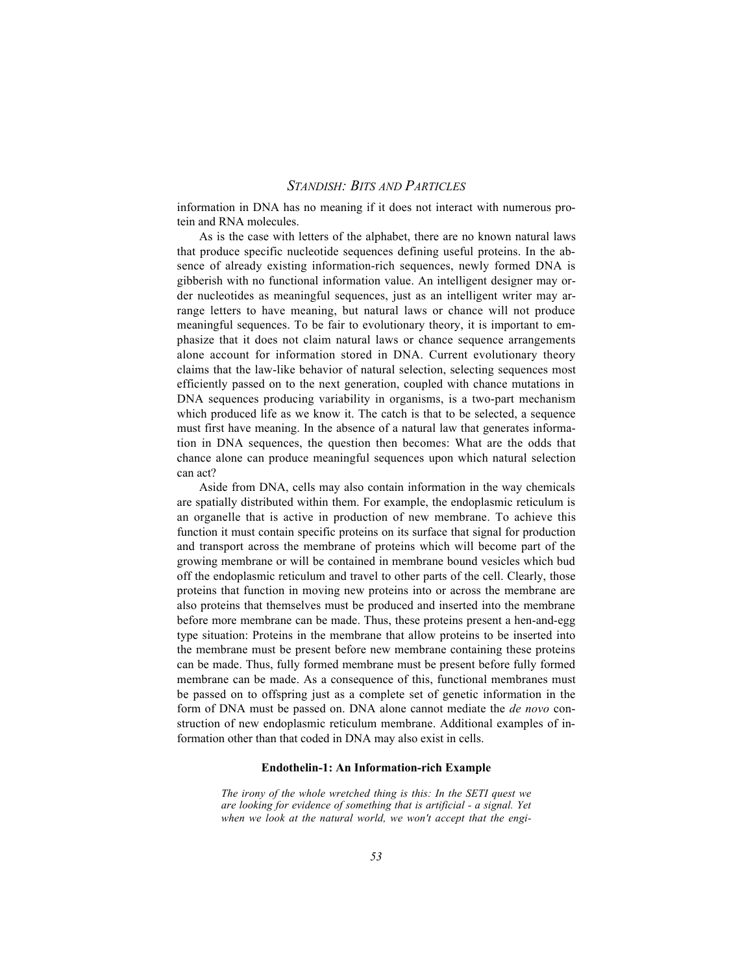information in DNA has no meaning if it does not interact with numerous protein and RNA molecules.

As is the case with letters of the alphabet, there are no known natural laws that produce specific nucleotide sequences defining useful proteins. In the absence of already existing information-rich sequences, newly formed DNA is gibberish with no functional information value. An intelligent designer may order nucleotides as meaningful sequences, just as an intelligent writer may arrange letters to have meaning, but natural laws or chance will not produce meaningful sequences. To be fair to evolutionary theory, it is important to emphasize that it does not claim natural laws or chance sequence arrangements alone account for information stored in DNA. Current evolutionary theory claims that the law-like behavior of natural selection, selecting sequences most efficiently passed on to the next generation, coupled with chance mutations in DNA sequences producing variability in organisms, is a two-part mechanism which produced life as we know it. The catch is that to be selected, a sequence must first have meaning. In the absence of a natural law that generates information in DNA sequences, the question then becomes: What are the odds that chance alone can produce meaningful sequences upon which natural selection can act?

Aside from DNA, cells may also contain information in the way chemicals are spatially distributed within them. For example, the endoplasmic reticulum is an organelle that is active in production of new membrane. To achieve this function it must contain specific proteins on its surface that signal for production and transport across the membrane of proteins which will become part of the growing membrane or will be contained in membrane bound vesicles which bud off the endoplasmic reticulum and travel to other parts of the cell. Clearly, those proteins that function in moving new proteins into or across the membrane are also proteins that themselves must be produced and inserted into the membrane before more membrane can be made. Thus, these proteins present a hen-and-egg type situation: Proteins in the membrane that allow proteins to be inserted into the membrane must be present before new membrane containing these proteins can be made. Thus, fully formed membrane must be present before fully formed membrane can be made. As a consequence of this, functional membranes must be passed on to offspring just as a complete set of genetic information in the form of DNA must be passed on. DNA alone cannot mediate the *de novo* construction of new endoplasmic reticulum membrane. Additional examples of information other than that coded in DNA may also exist in cells.

#### **Endothelin-1: An Information-rich Example**

*The irony of the whole wretched thing is this: In the SETI quest we are looking for evidence of something that is artificial - a signal. Yet when we look at the natural world, we won't accept that the engi-*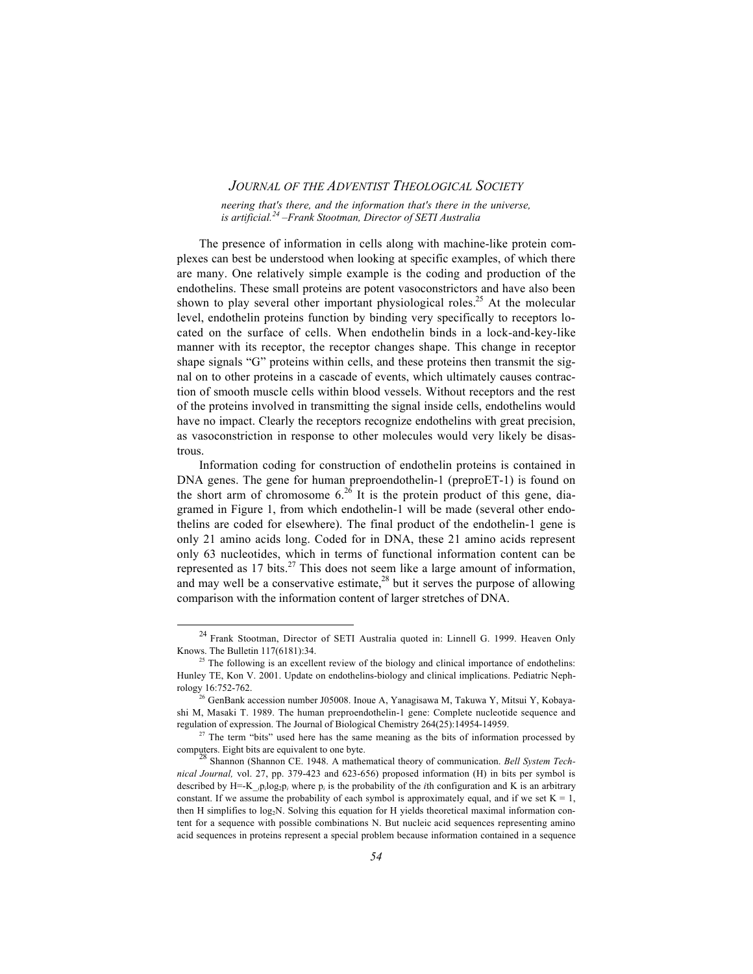*neering that's there, and the information that's there in the universe, is artificial.24 –Frank Stootman, Director of SETI Australia*

The presence of information in cells along with machine-like protein complexes can best be understood when looking at specific examples, of which there are many. One relatively simple example is the coding and production of the endothelins. These small proteins are potent vasoconstrictors and have also been shown to play several other important physiological roles.<sup>25</sup> At the molecular level, endothelin proteins function by binding very specifically to receptors located on the surface of cells. When endothelin binds in a lock-and-key-like manner with its receptor, the receptor changes shape. This change in receptor shape signals "G" proteins within cells, and these proteins then transmit the signal on to other proteins in a cascade of events, which ultimately causes contraction of smooth muscle cells within blood vessels. Without receptors and the rest of the proteins involved in transmitting the signal inside cells, endothelins would have no impact. Clearly the receptors recognize endothelins with great precision, as vasoconstriction in response to other molecules would very likely be disastrous.

Information coding for construction of endothelin proteins is contained in DNA genes. The gene for human preproendothelin-1 (preproET-1) is found on the short arm of chromosome  $6^{26}$  It is the protein product of this gene, diagramed in Figure 1, from which endothelin-1 will be made (several other endothelins are coded for elsewhere). The final product of the endothelin-1 gene is only 21 amino acids long. Coded for in DNA, these 21 amino acids represent only 63 nucleotides, which in terms of functional information content can be represented as  $17 \text{ bits.}^{27}$  This does not seem like a large amount of information, and may well be a conservative estimate, $^{28}$  but it serves the purpose of allowing comparison with the information content of larger stretches of DNA.

<sup>&</sup>lt;sup>24</sup> Frank Stootman, Director of SETI Australia quoted in: Linnell G. 1999. Heaven Only Knows. The Bulletin 117(6181):34.

<sup>&</sup>lt;sup>25</sup> The following is an excellent review of the biology and clinical importance of endothelins: Hunley TE, Kon V. 2001. Update on endothelins-biology and clinical implications. Pediatric Nephrology 16:752-762.

<sup>&</sup>lt;sup>26</sup> GenBank accession number J05008. Inoue A, Yanagisawa M, Takuwa Y, Mitsui Y, Kobayashi M, Masaki T. 1989. The human preproendothelin-1 gene: Complete nucleotide sequence and regulation of expression. The Journal of Biological Chemistry 264(25):14954-14959.

<sup>&</sup>lt;sup>27</sup> The term "bits" used here has the same meaning as the bits of information processed by computers. Eight bits are equivalent to one byte. <sup>28</sup> Shannon (Shannon CE. 1948. A mathematical theory of communication. *Bell System Tech-*

*nical Journal,* vol. 27, pp. 379-423 and 623-656) proposed information (H) in bits per symbol is described by  $H = -K_{i}p_{i}log_{2}p_{i}$  where  $p_{i}$  is the probability of the *i*th configuration and K is an arbitrary constant. If we assume the probability of each symbol is approximately equal, and if we set  $K = 1$ , then H simplifies to log<sub>2</sub>N. Solving this equation for H yields theoretical maximal information content for a sequence with possible combinations N. But nucleic acid sequences representing amino acid sequences in proteins represent a special problem because information contained in a sequence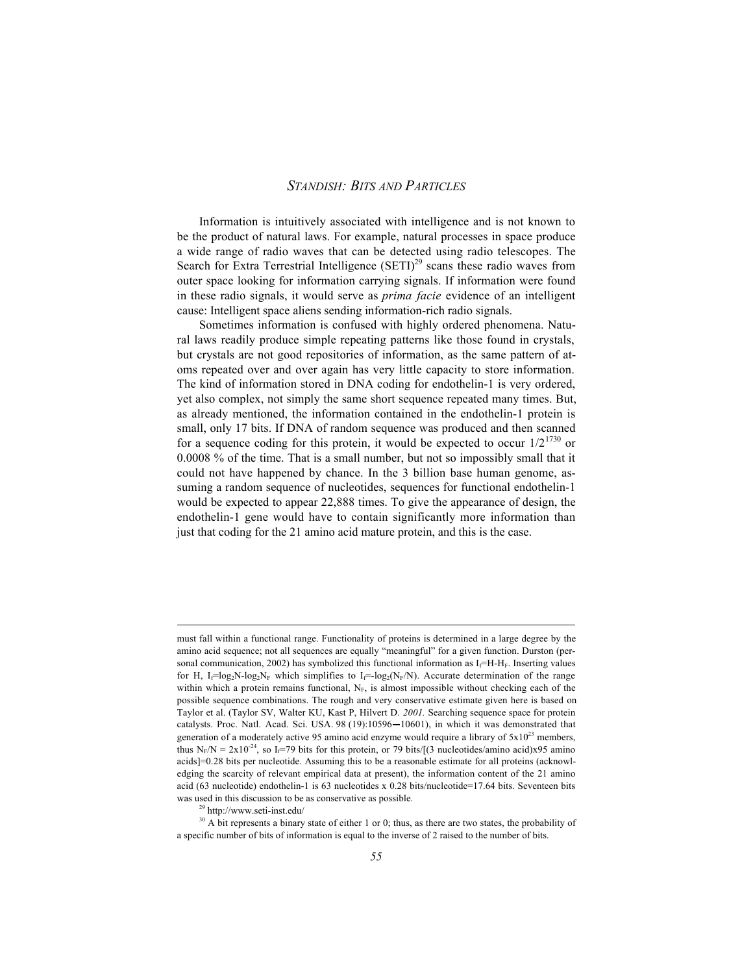Information is intuitively associated with intelligence and is not known to be the product of natural laws. For example, natural processes in space produce a wide range of radio waves that can be detected using radio telescopes. The Search for Extra Terrestrial Intelligence  $(SETI)<sup>29</sup>$  scans these radio waves from outer space looking for information carrying signals. If information were found in these radio signals, it would serve as *prima facie* evidence of an intelligent cause: Intelligent space aliens sending information-rich radio signals.

Sometimes information is confused with highly ordered phenomena. Natural laws readily produce simple repeating patterns like those found in crystals, but crystals are not good repositories of information, as the same pattern of atoms repeated over and over again has very little capacity to store information. The kind of information stored in DNA coding for endothelin-1 is very ordered, yet also complex, not simply the same short sequence repeated many times. But, as already mentioned, the information contained in the endothelin-1 protein is small, only 17 bits. If DNA of random sequence was produced and then scanned for a sequence coding for this protein, it would be expected to occur  $1/2^{1730}$  or 0.0008 % of the time. That is a small number, but not so impossibly small that it could not have happened by chance. In the 3 billion base human genome, assuming a random sequence of nucleotides, sequences for functional endothelin-1 would be expected to appear 22,888 times. To give the appearance of design, the endothelin-1 gene would have to contain significantly more information than just that coding for the 21 amino acid mature protein, and this is the case.

 $\overline{a}$ 

must fall within a functional range. Functionality of proteins is determined in a large degree by the amino acid sequence; not all sequences are equally "meaningful" for a given function. Durston (personal communication, 2002) has symbolized this functional information as  $I_f=H-H_F$ . Inserting values for H, I<sub>f</sub>=log<sub>2</sub>N-log<sub>2</sub>N<sub>F</sub> which simplifies to I<sub>f</sub>=-log<sub>2</sub>(N<sub>F</sub>/N). Accurate determination of the range within which a protein remains functional,  $N_F$ , is almost impossible without checking each of the possible sequence combinations. The rough and very conservative estimate given here is based on Taylor et al. (Taylor SV, Walter KU, Kast P, Hilvert D. *2001.* Searching sequence space for protein catalysts. Proc. Natl. Acad. Sci. USA. 98 (19):10596-10601), in which it was demonstrated that generation of a moderately active 95 amino acid enzyme would require a library of  $5x10^{23}$  members, thus N<sub>F</sub>/N = 2x10<sup>-24</sup>, so I<sub>f</sub>=79 bits for this protein, or 79 bits/[(3 nucleotides/amino acid)x95 amino acids]=0.28 bits per nucleotide. Assuming this to be a reasonable estimate for all proteins (acknowledging the scarcity of relevant empirical data at present), the information content of the 21 amino acid (63 nucleotide) endothelin-1 is 63 nucleotides x 0.28 bits/nucleotide=17.64 bits. Seventeen bits was used in this discussion to be as conservative as possible.

<sup>29</sup> http://www.seti-inst.edu/

<sup>&</sup>lt;sup>30</sup> A bit represents a binary state of either 1 or 0; thus, as there are two states, the probability of a specific number of bits of information is equal to the inverse of 2 raised to the number of bits.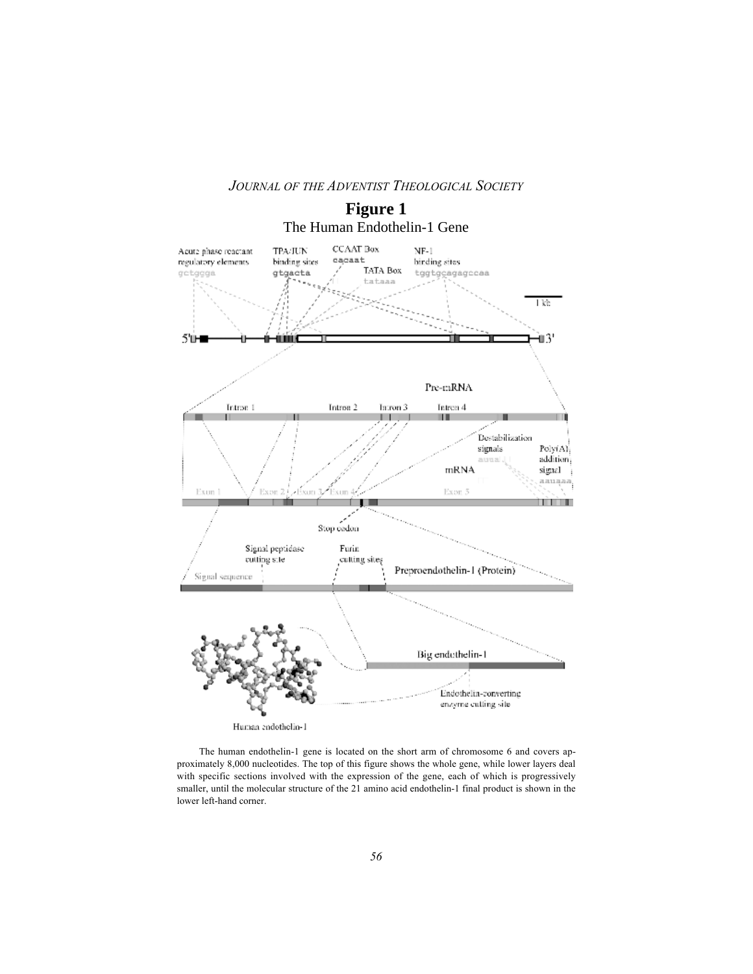

The human endothelin-1 gene is located on the short arm of chromosome 6 and covers approximately 8,000 nucleotides. The top of this figure shows the whole gene, while lower layers deal with specific sections involved with the expression of the gene, each of which is progressively smaller, until the molecular structure of the 21 amino acid endothelin-1 final product is shown in the lower left-hand corner.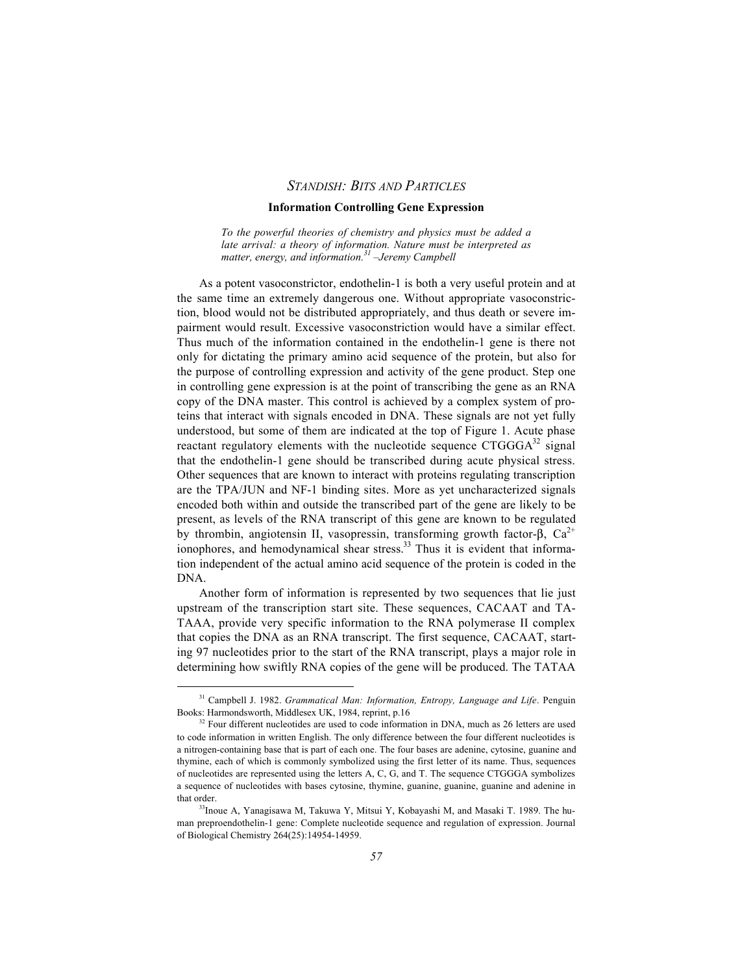#### **Information Controlling Gene Expression**

*To the powerful theories of chemistry and physics must be added a late arrival: a theory of information. Nature must be interpreted as matter, energy, and information.31 –Jeremy Campbell*

As a potent vasoconstrictor, endothelin-1 is both a very useful protein and at the same time an extremely dangerous one. Without appropriate vasoconstriction, blood would not be distributed appropriately, and thus death or severe impairment would result. Excessive vasoconstriction would have a similar effect. Thus much of the information contained in the endothelin-1 gene is there not only for dictating the primary amino acid sequence of the protein, but also for the purpose of controlling expression and activity of the gene product. Step one in controlling gene expression is at the point of transcribing the gene as an RNA copy of the DNA master. This control is achieved by a complex system of proteins that interact with signals encoded in DNA. These signals are not yet fully understood, but some of them are indicated at the top of Figure 1. Acute phase reactant regulatory elements with the nucleotide sequence  $CTGGGA^{32}$  signal that the endothelin-1 gene should be transcribed during acute physical stress. Other sequences that are known to interact with proteins regulating transcription are the TPA/JUN and NF-1 binding sites. More as yet uncharacterized signals encoded both within and outside the transcribed part of the gene are likely to be present, as levels of the RNA transcript of this gene are known to be regulated by thrombin, angiotensin II, vasopressin, transforming growth factor- $\beta$ , Ca<sup>2+</sup> ionophores, and hemodynamical shear stress.<sup>33</sup> Thus it is evident that information independent of the actual amino acid sequence of the protein is coded in the DNA.

Another form of information is represented by two sequences that lie just upstream of the transcription start site. These sequences, CACAAT and TA-TAAA, provide very specific information to the RNA polymerase II complex that copies the DNA as an RNA transcript. The first sequence, CACAAT, starting 97 nucleotides prior to the start of the RNA transcript, plays a major role in determining how swiftly RNA copies of the gene will be produced. The TATAA

31 Campbell J. 1982. *Grammatical Man: Information, Entropy, Language and Life*. Penguin Books: Harmondsworth, Middlesex UK, 1984, reprint, p.16

 $32$  Four different nucleotides are used to code information in DNA, much as 26 letters are used to code information in written English. The only difference between the four different nucleotides is a nitrogen-containing base that is part of each one. The four bases are adenine, cytosine, guanine and thymine, each of which is commonly symbolized using the first letter of its name. Thus, sequences of nucleotides are represented using the letters A, C, G, and T. The sequence CTGGGA symbolizes a sequence of nucleotides with bases cytosine, thymine, guanine, guanine, guanine and adenine in that order.

<sup>33</sup>Inoue A, Yanagisawa M, Takuwa Y, Mitsui Y, Kobayashi M, and Masaki T. 1989. The human preproendothelin-1 gene: Complete nucleotide sequence and regulation of expression. Journal of Biological Chemistry 264(25):14954-14959.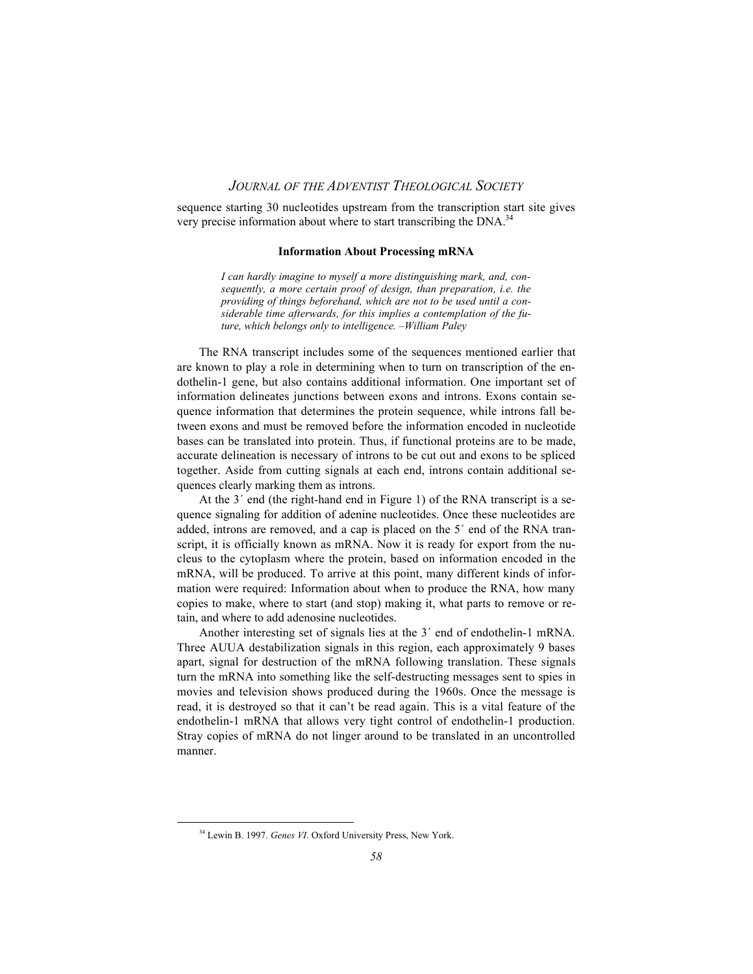sequence starting 30 nucleotides upstream from the transcription start site gives very precise information about where to start transcribing the DNA.<sup>34</sup>

#### **Information About Processing mRNA**

*I can hardly imagine to myself a more distinguishing mark, and, consequently, a more certain proof of design, than preparation, i.e. the providing of things beforehand, which are not to be used until a considerable time afterwards, for this implies a contemplation of the future, which belongs only to intelligence. –William Paley*

The RNA transcript includes some of the sequences mentioned earlier that are known to play a role in determining when to turn on transcription of the endothelin-1 gene, but also contains additional information. One important set of information delineates junctions between exons and introns. Exons contain sequence information that determines the protein sequence, while introns fall between exons and must be removed before the information encoded in nucleotide bases can be translated into protein. Thus, if functional proteins are to be made, accurate delineation is necessary of introns to be cut out and exons to be spliced together. Aside from cutting signals at each end, introns contain additional sequences clearly marking them as introns.

At the 3´ end (the right-hand end in Figure 1) of the RNA transcript is a sequence signaling for addition of adenine nucleotides. Once these nucleotides are added, introns are removed, and a cap is placed on the 5´ end of the RNA transcript, it is officially known as mRNA. Now it is ready for export from the nucleus to the cytoplasm where the protein, based on information encoded in the mRNA, will be produced. To arrive at this point, many different kinds of information were required: Information about when to produce the RNA, how many copies to make, where to start (and stop) making it, what parts to remove or retain, and where to add adenosine nucleotides.

Another interesting set of signals lies at the 3´ end of endothelin-1 mRNA. Three AUUA destabilization signals in this region, each approximately 9 bases apart, signal for destruction of the mRNA following translation. These signals turn the mRNA into something like the self-destructing messages sent to spies in movies and television shows produced during the 1960s. Once the message is read, it is destroyed so that it can't be read again. This is a vital feature of the endothelin-1 mRNA that allows very tight control of endothelin-1 production. Stray copies of mRNA do not linger around to be translated in an uncontrolled manner.

34 Lewin B. 1997. *Genes VI*. Oxford University Press, New York.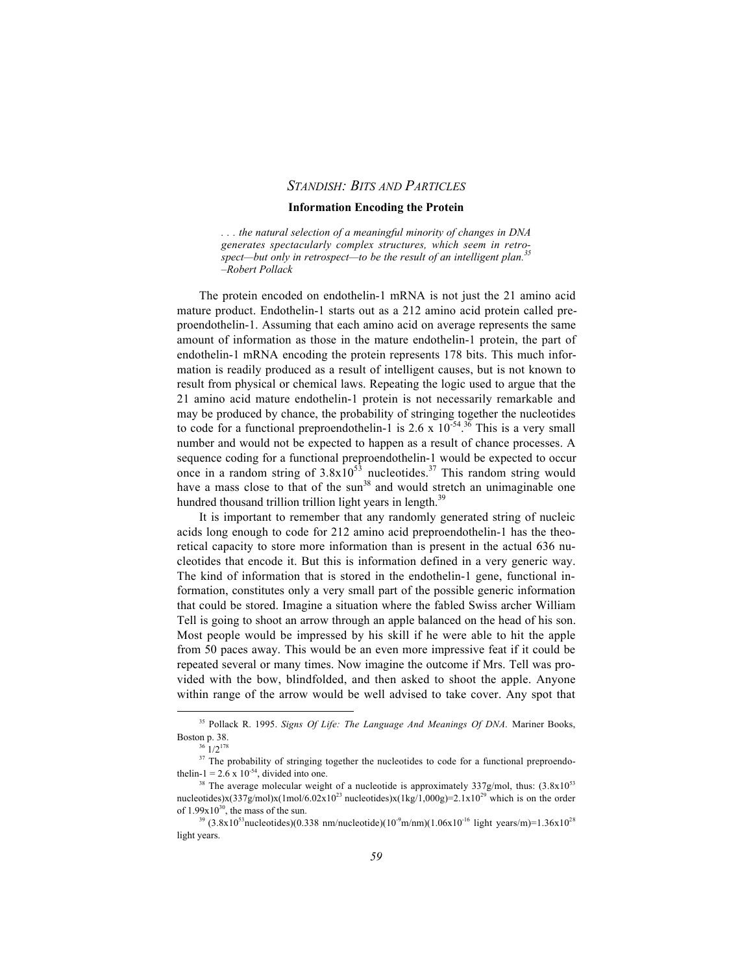#### **Information Encoding the Protein**

*. . . the natural selection of a meaningful minority of changes in DNA generates spectacularly complex structures, which seem in retrospect—but only in retrospect—to be the result of an intelligent plan.35 –Robert Pollack*

The protein encoded on endothelin-1 mRNA is not just the 21 amino acid mature product. Endothelin-1 starts out as a 212 amino acid protein called preproendothelin-1. Assuming that each amino acid on average represents the same amount of information as those in the mature endothelin-1 protein, the part of endothelin-1 mRNA encoding the protein represents 178 bits. This much information is readily produced as a result of intelligent causes, but is not known to result from physical or chemical laws. Repeating the logic used to argue that the 21 amino acid mature endothelin-1 protein is not necessarily remarkable and may be produced by chance, the probability of stringing together the nucleotides to code for a functional preproendothelin-1 is  $2.6 \times 10^{-54}$ .<sup>36</sup> This is a very small number and would not be expected to happen as a result of chance processes. A sequence coding for a functional preproendothelin-1 would be expected to occur once in a random string of  $3.8x10^{53}$  nucleotides.<sup>37</sup> This random string would have a mass close to that of the sun<sup>38</sup> and would stretch an unimaginable one hundred thousand trillion trillion light years in length.<sup>39</sup>

It is important to remember that any randomly generated string of nucleic acids long enough to code for 212 amino acid preproendothelin-1 has the theoretical capacity to store more information than is present in the actual 636 nucleotides that encode it. But this is information defined in a very generic way. The kind of information that is stored in the endothelin-1 gene, functional information, constitutes only a very small part of the possible generic information that could be stored. Imagine a situation where the fabled Swiss archer William Tell is going to shoot an arrow through an apple balanced on the head of his son. Most people would be impressed by his skill if he were able to hit the apple from 50 paces away. This would be an even more impressive feat if it could be repeated several or many times. Now imagine the outcome if Mrs. Tell was provided with the bow, blindfolded, and then asked to shoot the apple. Anyone within range of the arrow would be well advised to take cover. Any spot that

35 Pollack R. 1995. *Signs Of Life: The Language And Meanings Of DNA*. Mariner Books, Boston p. 38.

 $^{\circ}$  1/2<sup>178</sup>

<sup>&</sup>lt;sup>37</sup> The probability of stringing together the nucleotides to code for a functional preproendothelin-1 = 2.6 x 10<sup>-54</sup>, divided into one.

The average molecular weight of a nucleotide is approximately  $337g/mol$ , thus:  $(3.8x10^{53})$ nucleotides)x(337g/mol)x(1mol/6.02x10<sup>23</sup> nucleotides)x(1kg/1,000g)=2.1x10<sup>29</sup> which is on the order of  $1.99x10^{30}$ , the mass of the sun.

<sup>&</sup>lt;sup>39</sup> (3.8x10<sup>53</sup>nucleotides)(0.338 nm/nucleotide)(10<sup>-9</sup>m/nm)(1.06x10<sup>-16</sup> light years/m)=1.36x10<sup>28</sup> light years.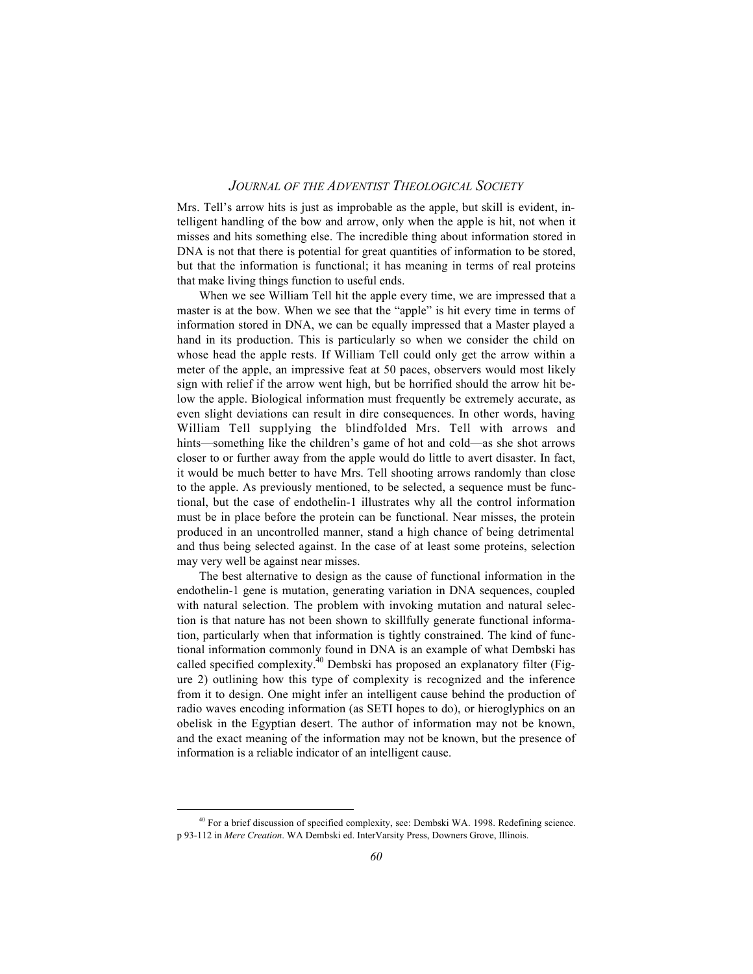Mrs. Tell's arrow hits is just as improbable as the apple, but skill is evident, intelligent handling of the bow and arrow, only when the apple is hit, not when it misses and hits something else. The incredible thing about information stored in DNA is not that there is potential for great quantities of information to be stored, but that the information is functional; it has meaning in terms of real proteins that make living things function to useful ends.

When we see William Tell hit the apple every time, we are impressed that a master is at the bow. When we see that the "apple" is hit every time in terms of information stored in DNA, we can be equally impressed that a Master played a hand in its production. This is particularly so when we consider the child on whose head the apple rests. If William Tell could only get the arrow within a meter of the apple, an impressive feat at 50 paces, observers would most likely sign with relief if the arrow went high, but be horrified should the arrow hit below the apple. Biological information must frequently be extremely accurate, as even slight deviations can result in dire consequences. In other words, having William Tell supplying the blindfolded Mrs. Tell with arrows and hints—something like the children's game of hot and cold—as she shot arrows closer to or further away from the apple would do little to avert disaster. In fact, it would be much better to have Mrs. Tell shooting arrows randomly than close to the apple. As previously mentioned, to be selected, a sequence must be functional, but the case of endothelin-1 illustrates why all the control information must be in place before the protein can be functional. Near misses, the protein produced in an uncontrolled manner, stand a high chance of being detrimental and thus being selected against. In the case of at least some proteins, selection may very well be against near misses.

The best alternative to design as the cause of functional information in the endothelin-1 gene is mutation, generating variation in DNA sequences, coupled with natural selection. The problem with invoking mutation and natural selection is that nature has not been shown to skillfully generate functional information, particularly when that information is tightly constrained. The kind of functional information commonly found in DNA is an example of what Dembski has called specified complexity.<sup>40</sup> Dembski has proposed an explanatory filter (Figure 2) outlining how this type of complexity is recognized and the inference from it to design. One might infer an intelligent cause behind the production of radio waves encoding information (as SETI hopes to do), or hieroglyphics on an obelisk in the Egyptian desert. The author of information may not be known, and the exact meaning of the information may not be known, but the presence of information is a reliable indicator of an intelligent cause.

<sup>&</sup>lt;sup>40</sup> For a brief discussion of specified complexity, see: Dembski WA. 1998. Redefining science. p 93-112 in *Mere Creation*. WA Dembski ed. InterVarsity Press, Downers Grove, Illinois.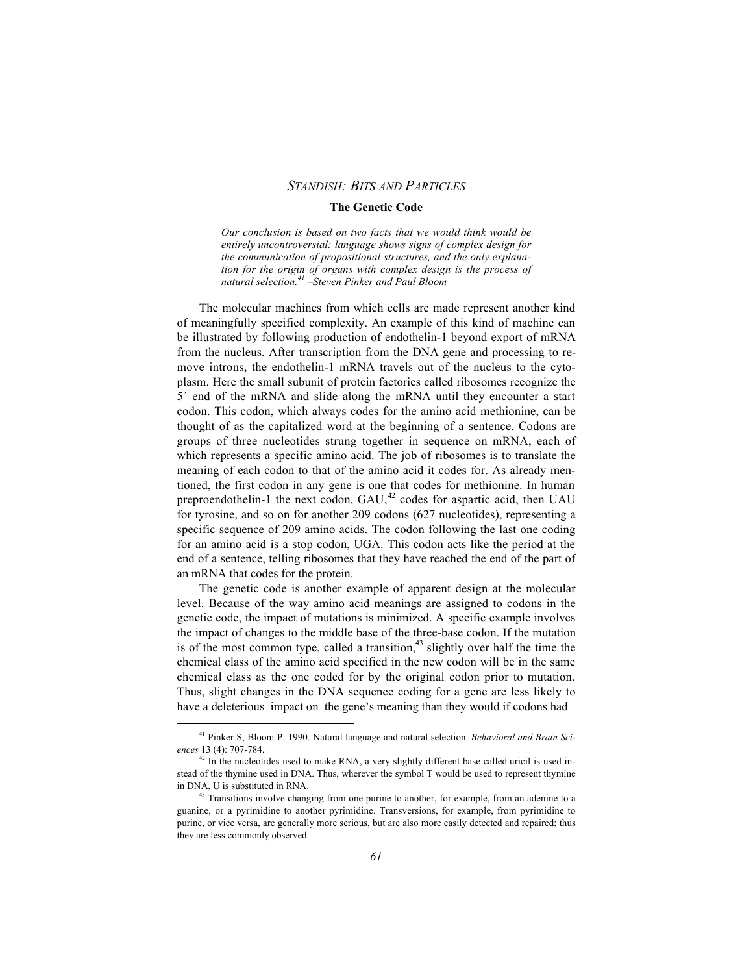#### **The Genetic Code**

*Our conclusion is based on two facts that we would think would be entirely uncontroversial: language shows signs of complex design for the communication of propositional structures, and the only explanation for the origin of organs with complex design is the process of natural selection.41 –Steven Pinker and Paul Bloom*

The molecular machines from which cells are made represent another kind of meaningfully specified complexity. An example of this kind of machine can be illustrated by following production of endothelin-1 beyond export of mRNA from the nucleus. After transcription from the DNA gene and processing to remove introns, the endothelin-1 mRNA travels out of the nucleus to the cytoplasm. Here the small subunit of protein factories called ribosomes recognize the 5´ end of the mRNA and slide along the mRNA until they encounter a start codon. This codon, which always codes for the amino acid methionine, can be thought of as the capitalized word at the beginning of a sentence. Codons are groups of three nucleotides strung together in sequence on mRNA, each of which represents a specific amino acid. The job of ribosomes is to translate the meaning of each codon to that of the amino acid it codes for. As already mentioned, the first codon in any gene is one that codes for methionine. In human preproendothelin-1 the next codon,  $GAU<sub>1</sub><sup>42</sup>$  codes for aspartic acid, then UAU for tyrosine, and so on for another 209 codons (627 nucleotides), representing a specific sequence of 209 amino acids. The codon following the last one coding for an amino acid is a stop codon, UGA. This codon acts like the period at the end of a sentence, telling ribosomes that they have reached the end of the part of an mRNA that codes for the protein.

The genetic code is another example of apparent design at the molecular level. Because of the way amino acid meanings are assigned to codons in the genetic code, the impact of mutations is minimized. A specific example involves the impact of changes to the middle base of the three-base codon. If the mutation is of the most common type, called a transition,  $43$  slightly over half the time the chemical class of the amino acid specified in the new codon will be in the same chemical class as the one coded for by the original codon prior to mutation. Thus, slight changes in the DNA sequence coding for a gene are less likely to have a deleterious impact on the gene's meaning than they would if codons had

41 Pinker S, Bloom P. 1990. Natural language and natural selection. *Behavioral and Brain Sciences* 13 (4): 707-784.

<sup>&</sup>lt;sup>42</sup> In the nucleotides used to make RNA, a very slightly different base called uricil is used instead of the thymine used in DNA. Thus, wherever the symbol T would be used to represent thymine in DNA, U is substituted in RNA.

<sup>&</sup>lt;sup>43</sup> Transitions involve changing from one purine to another, for example, from an adenine to a guanine, or a pyrimidine to another pyrimidine. Transversions, for example, from pyrimidine to purine, or vice versa, are generally more serious, but are also more easily detected and repaired; thus they are less commonly observed.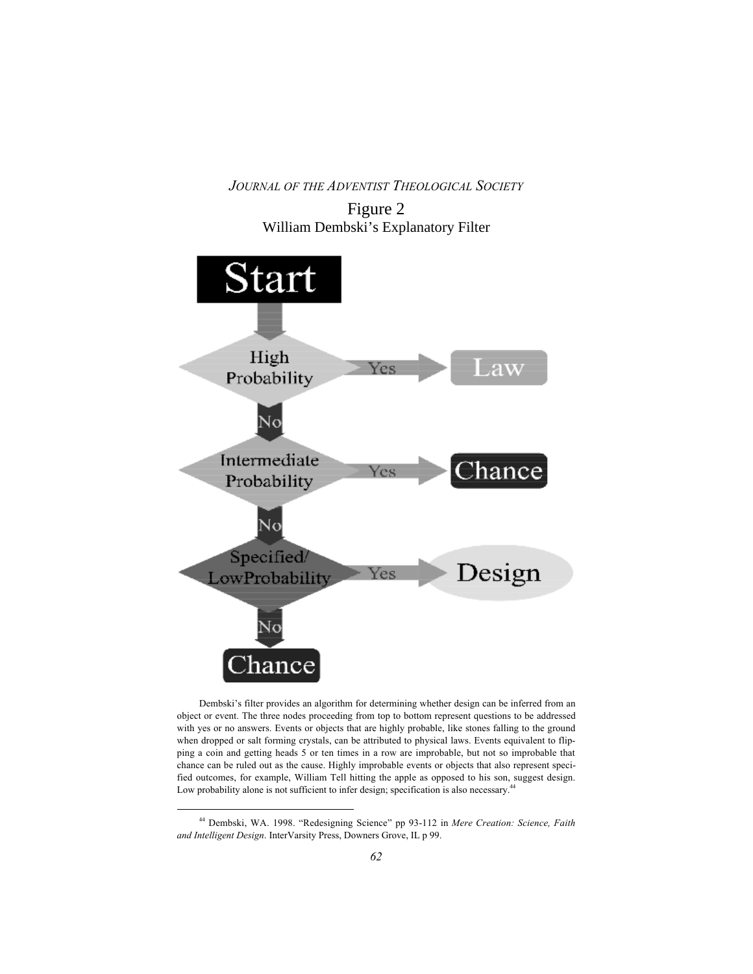

Dembski's filter provides an algorithm for determining whether design can be inferred from an object or event. The three nodes proceeding from top to bottom represent questions to be addressed with yes or no answers. Events or objects that are highly probable, like stones falling to the ground when dropped or salt forming crystals, can be attributed to physical laws. Events equivalent to flipping a coin and getting heads 5 or ten times in a row are improbable, but not so improbable that chance can be ruled out as the cause. Highly improbable events or objects that also represent specified outcomes, for example, William Tell hitting the apple as opposed to his son, suggest design. Low probability alone is not sufficient to infer design; specification is also necessary.<sup>44</sup>

44 Dembski, WA. 1998. "Redesigning Science" pp 93-112 in *Mere Creation: Science, Faith and Intelligent Design*. InterVarsity Press, Downers Grove, IL p 99.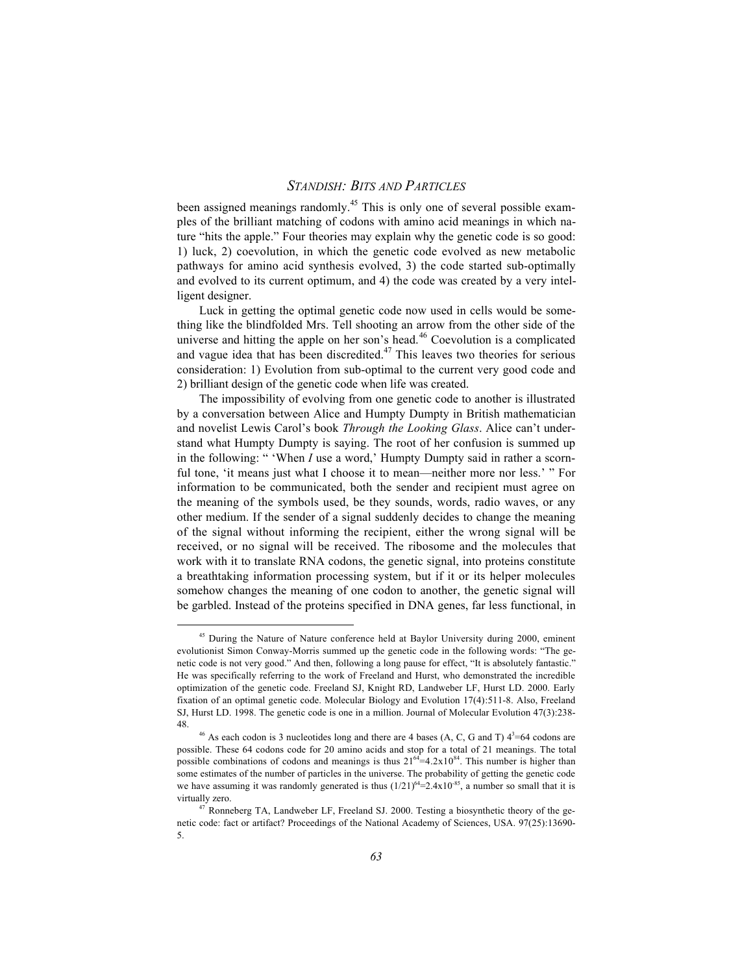been assigned meanings randomly.<sup>45</sup> This is only one of several possible examples of the brilliant matching of codons with amino acid meanings in which nature "hits the apple." Four theories may explain why the genetic code is so good: 1) luck, 2) coevolution, in which the genetic code evolved as new metabolic pathways for amino acid synthesis evolved, 3) the code started sub-optimally and evolved to its current optimum, and 4) the code was created by a very intelligent designer.

Luck in getting the optimal genetic code now used in cells would be something like the blindfolded Mrs. Tell shooting an arrow from the other side of the universe and hitting the apple on her son's head.<sup>46</sup> Coevolution is a complicated and vague idea that has been discredited.<sup>47</sup> This leaves two theories for serious consideration: 1) Evolution from sub-optimal to the current very good code and 2) brilliant design of the genetic code when life was created.

The impossibility of evolving from one genetic code to another is illustrated by a conversation between Alice and Humpty Dumpty in British mathematician and novelist Lewis Carol's book *Through the Looking Glass*. Alice can't understand what Humpty Dumpty is saying. The root of her confusion is summed up in the following: " 'When *I* use a word,' Humpty Dumpty said in rather a scornful tone, 'it means just what I choose it to mean—neither more nor less.' " For information to be communicated, both the sender and recipient must agree on the meaning of the symbols used, be they sounds, words, radio waves, or any other medium. If the sender of a signal suddenly decides to change the meaning of the signal without informing the recipient, either the wrong signal will be received, or no signal will be received. The ribosome and the molecules that work with it to translate RNA codons, the genetic signal, into proteins constitute a breathtaking information processing system, but if it or its helper molecules somehow changes the meaning of one codon to another, the genetic signal will be garbled. Instead of the proteins specified in DNA genes, far less functional, in

<sup>&</sup>lt;sup>45</sup> During the Nature of Nature conference held at Baylor University during 2000, eminent evolutionist Simon Conway-Morris summed up the genetic code in the following words: "The genetic code is not very good." And then, following a long pause for effect, "It is absolutely fantastic." He was specifically referring to the work of Freeland and Hurst, who demonstrated the incredible optimization of the genetic code. Freeland SJ, Knight RD, Landweber LF, Hurst LD. 2000. Early fixation of an optimal genetic code. Molecular Biology and Evolution 17(4):511-8. Also, Freeland SJ, Hurst LD. 1998. The genetic code is one in a million. Journal of Molecular Evolution 47(3):238- 48.

<sup>&</sup>lt;sup>46</sup> As each codon is 3 nucleotides long and there are 4 bases (A, C, G and T)  $4^3$ =64 codons are possible. These 64 codons code for 20 amino acids and stop for a total of 21 meanings. The total possible combinations of codons and meanings is thus  $21^{64} = 4.2 \times 10^{84}$ . This number is higher than some estimates of the number of particles in the universe. The probability of getting the genetic code we have assuming it was randomly generated is thus  $(1/21)^{64}$ =2.4x10<sup>-85</sup>, a number so small that it is virtually zero.

<sup>&</sup>lt;sup>47</sup> Ronneberg TA, Landweber LF, Freeland SJ. 2000. Testing a biosynthetic theory of the genetic code: fact or artifact? Proceedings of the National Academy of Sciences, USA. 97(25):13690- 5.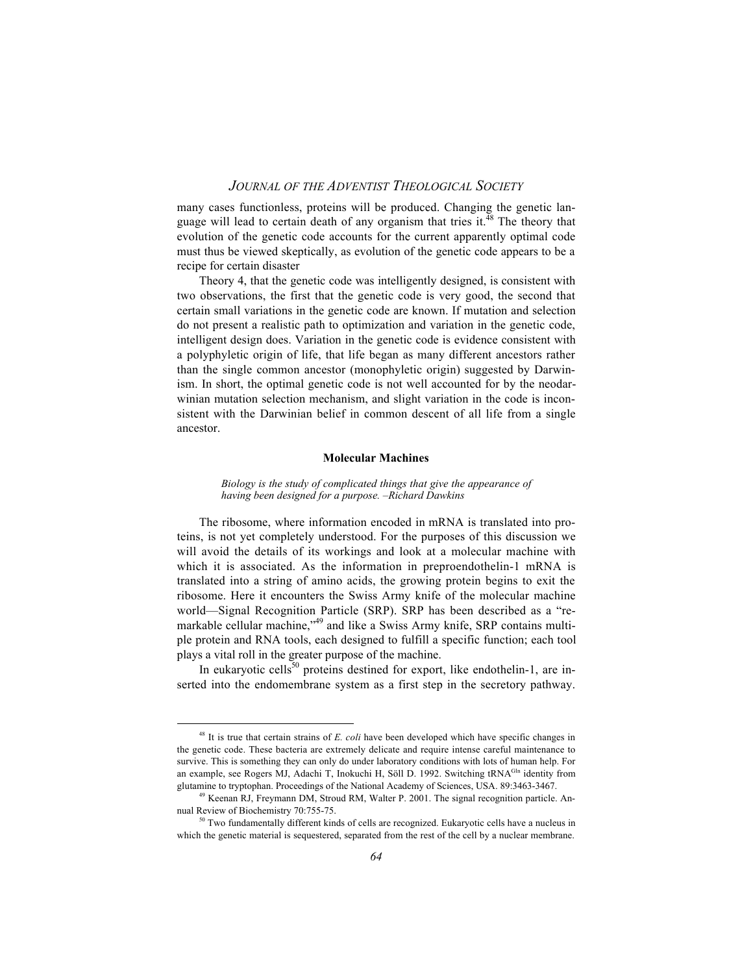many cases functionless, proteins will be produced. Changing the genetic language will lead to certain death of any organism that tries it. $^{48}$  The theory that evolution of the genetic code accounts for the current apparently optimal code must thus be viewed skeptically, as evolution of the genetic code appears to be a recipe for certain disaster

Theory 4, that the genetic code was intelligently designed, is consistent with two observations, the first that the genetic code is very good, the second that certain small variations in the genetic code are known. If mutation and selection do not present a realistic path to optimization and variation in the genetic code, intelligent design does. Variation in the genetic code is evidence consistent with a polyphyletic origin of life, that life began as many different ancestors rather than the single common ancestor (monophyletic origin) suggested by Darwinism. In short, the optimal genetic code is not well accounted for by the neodarwinian mutation selection mechanism, and slight variation in the code is inconsistent with the Darwinian belief in common descent of all life from a single ancestor.

#### **Molecular Machines**

*Biology is the study of complicated things that give the appearance of having been designed for a purpose. –Richard Dawkins*

The ribosome, where information encoded in mRNA is translated into proteins, is not yet completely understood. For the purposes of this discussion we will avoid the details of its workings and look at a molecular machine with which it is associated. As the information in preproendothelin-1 mRNA is translated into a string of amino acids, the growing protein begins to exit the ribosome. Here it encounters the Swiss Army knife of the molecular machine world—Signal Recognition Particle (SRP). SRP has been described as a "remarkable cellular machine,<sup>49</sup> and like a Swiss Army knife, SRP contains multiple protein and RNA tools, each designed to fulfill a specific function; each tool plays a vital roll in the greater purpose of the machine.

In eukaryotic cells<sup>50</sup> proteins destined for export, like endothelin-1, are inserted into the endomembrane system as a first step in the secretory pathway.

48 It is true that certain strains of *E. coli* have been developed which have specific changes in the genetic code. These bacteria are extremely delicate and require intense careful maintenance to survive. This is something they can only do under laboratory conditions with lots of human help. For an example, see Rogers MJ, Adachi T, Inokuchi H, Söll D. 1992. Switching tRNA<sup>Gln</sup> identity from glutamine to tryptophan. Proceedings of the National Academy of Sciences, USA. 89:3463-3467.

<sup>49</sup> Keenan RJ, Freymann DM, Stroud RM, Walter P. 2001. The signal recognition particle. Annual Review of Biochemistry 70:755-75.

<sup>&</sup>lt;sup>50</sup> Two fundamentally different kinds of cells are recognized. Eukaryotic cells have a nucleus in which the genetic material is sequestered, separated from the rest of the cell by a nuclear membrane.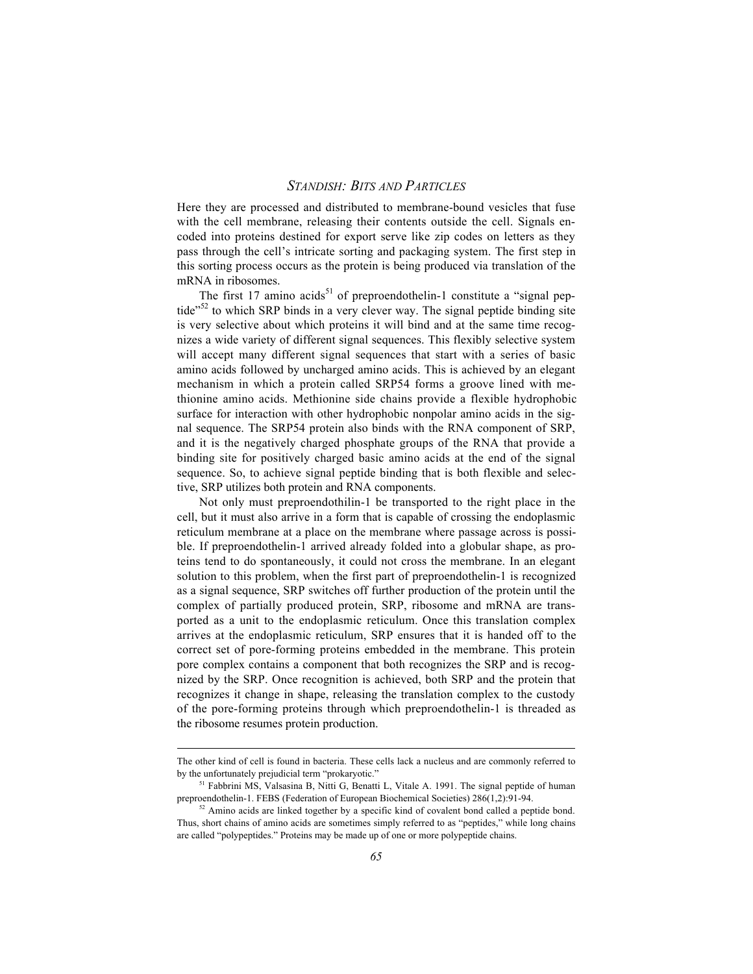Here they are processed and distributed to membrane-bound vesicles that fuse with the cell membrane, releasing their contents outside the cell. Signals encoded into proteins destined for export serve like zip codes on letters as they pass through the cell's intricate sorting and packaging system. The first step in this sorting process occurs as the protein is being produced via translation of the mRNA in ribosomes.

The first 17 amino acids<sup>51</sup> of preproendothelin-1 constitute a "signal peptide<sup>"52</sup> to which SRP binds in a very clever way. The signal peptide binding site is very selective about which proteins it will bind and at the same time recognizes a wide variety of different signal sequences. This flexibly selective system will accept many different signal sequences that start with a series of basic amino acids followed by uncharged amino acids. This is achieved by an elegant mechanism in which a protein called SRP54 forms a groove lined with methionine amino acids. Methionine side chains provide a flexible hydrophobic surface for interaction with other hydrophobic nonpolar amino acids in the signal sequence. The SRP54 protein also binds with the RNA component of SRP, and it is the negatively charged phosphate groups of the RNA that provide a binding site for positively charged basic amino acids at the end of the signal sequence. So, to achieve signal peptide binding that is both flexible and selective, SRP utilizes both protein and RNA components.

Not only must preproendothilin-1 be transported to the right place in the cell, but it must also arrive in a form that is capable of crossing the endoplasmic reticulum membrane at a place on the membrane where passage across is possible. If preproendothelin-1 arrived already folded into a globular shape, as proteins tend to do spontaneously, it could not cross the membrane. In an elegant solution to this problem, when the first part of preproendothelin-1 is recognized as a signal sequence, SRP switches off further production of the protein until the complex of partially produced protein, SRP, ribosome and mRNA are transported as a unit to the endoplasmic reticulum. Once this translation complex arrives at the endoplasmic reticulum, SRP ensures that it is handed off to the correct set of pore-forming proteins embedded in the membrane. This protein pore complex contains a component that both recognizes the SRP and is recognized by the SRP. Once recognition is achieved, both SRP and the protein that recognizes it change in shape, releasing the translation complex to the custody of the pore-forming proteins through which preproendothelin-1 is threaded as the ribosome resumes protein production.

 $\overline{a}$ 

The other kind of cell is found in bacteria. These cells lack a nucleus and are commonly referred to by the unfortunately prejudicial term "prokaryotic."

<sup>&</sup>lt;sup>51</sup> Fabbrini MS, Valsasina B, Nitti G, Benatti L, Vitale A. 1991. The signal peptide of human preproendothelin-1. FEBS (Federation of European Biochemical Societies) 286(1,2):91-94.

<sup>&</sup>lt;sup>52</sup> Amino acids are linked together by a specific kind of covalent bond called a peptide bond. Thus, short chains of amino acids are sometimes simply referred to as "peptides," while long chains are called "polypeptides." Proteins may be made up of one or more polypeptide chains.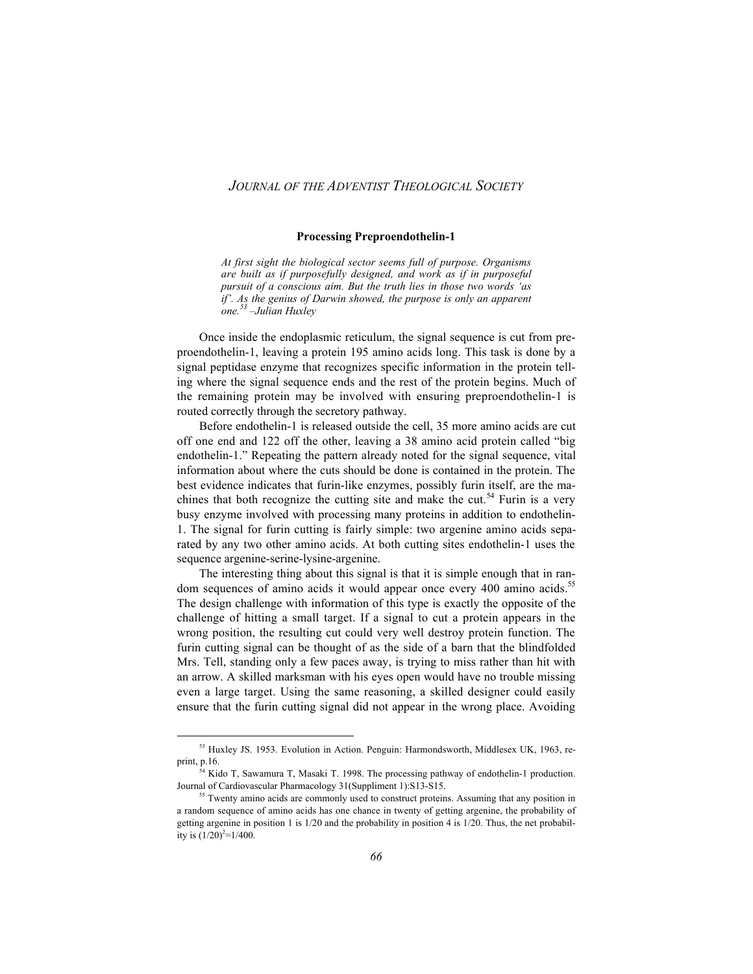#### **Processing Preproendothelin-1**

*At first sight the biological sector seems full of purpose. Organisms are built as if purposefully designed, and work as if in purposeful pursuit of a conscious aim. But the truth lies in those two words 'as if'. As the genius of Darwin showed, the purpose is only an apparent one.53 –Julian Huxley*

Once inside the endoplasmic reticulum, the signal sequence is cut from preproendothelin-1, leaving a protein 195 amino acids long. This task is done by a signal peptidase enzyme that recognizes specific information in the protein telling where the signal sequence ends and the rest of the protein begins. Much of the remaining protein may be involved with ensuring preproendothelin-1 is routed correctly through the secretory pathway.

Before endothelin-1 is released outside the cell, 35 more amino acids are cut off one end and 122 off the other, leaving a 38 amino acid protein called "big endothelin-1." Repeating the pattern already noted for the signal sequence, vital information about where the cuts should be done is contained in the protein. The best evidence indicates that furin-like enzymes, possibly furin itself, are the machines that both recognize the cutting site and make the cut.<sup>54</sup> Furin is a very busy enzyme involved with processing many proteins in addition to endothelin-1. The signal for furin cutting is fairly simple: two argenine amino acids separated by any two other amino acids. At both cutting sites endothelin-1 uses the sequence argenine-serine-lysine-argenine.

The interesting thing about this signal is that it is simple enough that in random sequences of amino acids it would appear once every 400 amino acids.<sup>55</sup> The design challenge with information of this type is exactly the opposite of the challenge of hitting a small target. If a signal to cut a protein appears in the wrong position, the resulting cut could very well destroy protein function. The furin cutting signal can be thought of as the side of a barn that the blindfolded Mrs. Tell, standing only a few paces away, is trying to miss rather than hit with an arrow. A skilled marksman with his eyes open would have no trouble missing even a large target. Using the same reasoning, a skilled designer could easily ensure that the furin cutting signal did not appear in the wrong place. Avoiding

53 Huxley JS. 1953. Evolution in Action. Penguin: Harmondsworth, Middlesex UK, 1963, reprint, p.16.

<sup>54</sup> Kido T, Sawamura T, Masaki T. 1998. The processing pathway of endothelin-1 production. Journal of Cardiovascular Pharmacology 31(Suppliment 1):S13-S15.

<sup>&</sup>lt;sup>55</sup> Twenty amino acids are commonly used to construct proteins. Assuming that any position in a random sequence of amino acids has one chance in twenty of getting argenine, the probability of getting argenine in position 1 is 1/20 and the probability in position 4 is 1/20. Thus, the net probability is  $(1/20)^2$ =1/400.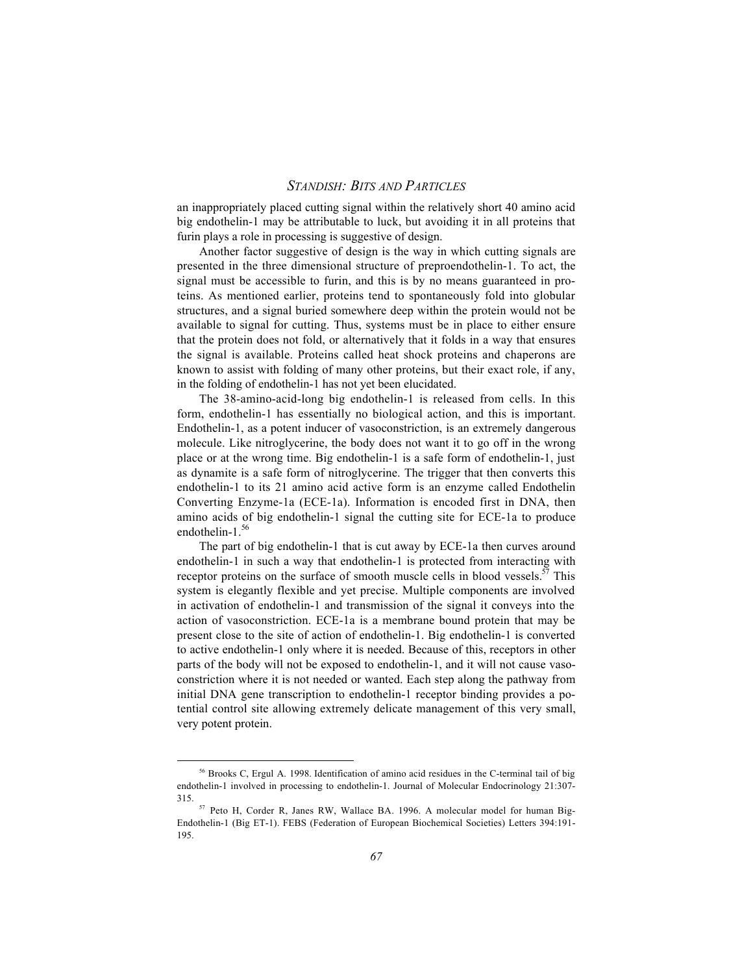an inappropriately placed cutting signal within the relatively short 40 amino acid big endothelin-1 may be attributable to luck, but avoiding it in all proteins that furin plays a role in processing is suggestive of design.

Another factor suggestive of design is the way in which cutting signals are presented in the three dimensional structure of preproendothelin-1. To act, the signal must be accessible to furin, and this is by no means guaranteed in proteins. As mentioned earlier, proteins tend to spontaneously fold into globular structures, and a signal buried somewhere deep within the protein would not be available to signal for cutting. Thus, systems must be in place to either ensure that the protein does not fold, or alternatively that it folds in a way that ensures the signal is available. Proteins called heat shock proteins and chaperons are known to assist with folding of many other proteins, but their exact role, if any, in the folding of endothelin-1 has not yet been elucidated.

The 38-amino-acid-long big endothelin-1 is released from cells. In this form, endothelin-1 has essentially no biological action, and this is important. Endothelin-1, as a potent inducer of vasoconstriction, is an extremely dangerous molecule. Like nitroglycerine, the body does not want it to go off in the wrong place or at the wrong time. Big endothelin-1 is a safe form of endothelin-1, just as dynamite is a safe form of nitroglycerine. The trigger that then converts this endothelin-1 to its 21 amino acid active form is an enzyme called Endothelin Converting Enzyme-1a (ECE-1a). Information is encoded first in DNA, then amino acids of big endothelin-1 signal the cutting site for ECE-1a to produce endothelin-1.<sup>56</sup>

The part of big endothelin-1 that is cut away by ECE-1a then curves around endothelin-1 in such a way that endothelin-1 is protected from interacting with receptor proteins on the surface of smooth muscle cells in blood vessels.<sup>57</sup> This system is elegantly flexible and yet precise. Multiple components are involved in activation of endothelin-1 and transmission of the signal it conveys into the action of vasoconstriction. ECE-1a is a membrane bound protein that may be present close to the site of action of endothelin-1. Big endothelin-1 is converted to active endothelin-1 only where it is needed. Because of this, receptors in other parts of the body will not be exposed to endothelin-1, and it will not cause vasoconstriction where it is not needed or wanted. Each step along the pathway from initial DNA gene transcription to endothelin-1 receptor binding provides a potential control site allowing extremely delicate management of this very small, very potent protein.

56 Brooks C, Ergul A. 1998. Identification of amino acid residues in the C-terminal tail of big endothelin-1 involved in processing to endothelin-1. Journal of Molecular Endocrinology 21:307- 315.

<sup>57</sup> Peto H, Corder R, Janes RW, Wallace BA. 1996. A molecular model for human Big-Endothelin-1 (Big ET-1). FEBS (Federation of European Biochemical Societies) Letters 394:191- 195.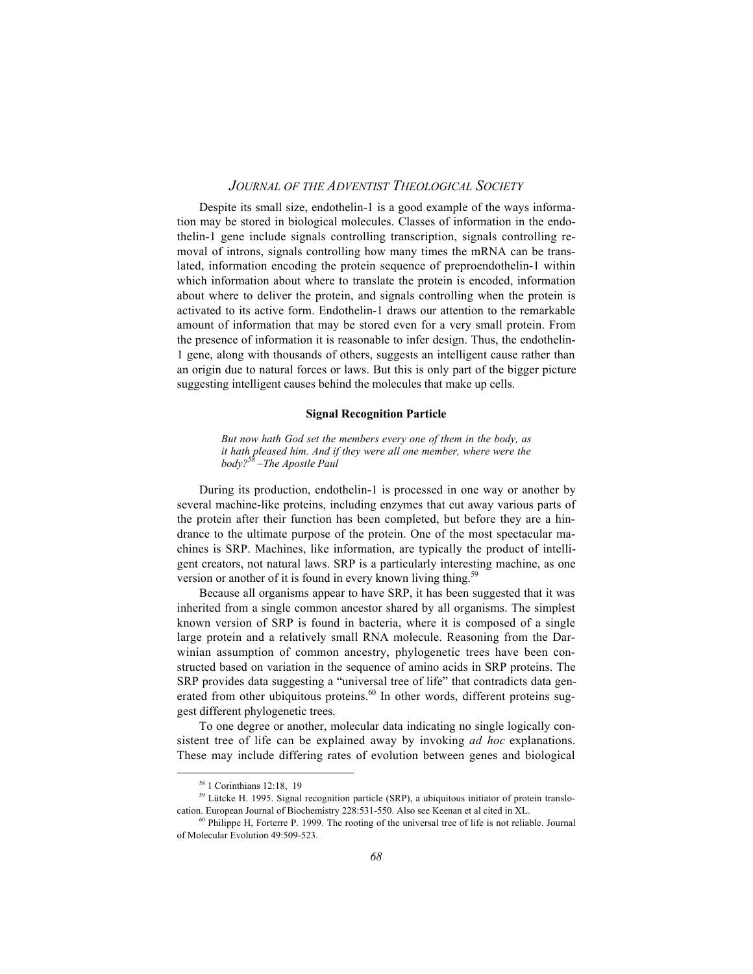Despite its small size, endothelin-1 is a good example of the ways information may be stored in biological molecules. Classes of information in the endothelin-1 gene include signals controlling transcription, signals controlling removal of introns, signals controlling how many times the mRNA can be translated, information encoding the protein sequence of preproendothelin-1 within which information about where to translate the protein is encoded, information about where to deliver the protein, and signals controlling when the protein is activated to its active form. Endothelin-1 draws our attention to the remarkable amount of information that may be stored even for a very small protein. From the presence of information it is reasonable to infer design. Thus, the endothelin-1 gene, along with thousands of others, suggests an intelligent cause rather than an origin due to natural forces or laws. But this is only part of the bigger picture suggesting intelligent causes behind the molecules that make up cells.

#### **Signal Recognition Particle**

*But now hath God set the members every one of them in the body, as it hath pleased him. And if they were all one member, where were the body?58 –The Apostle Paul*

During its production, endothelin-1 is processed in one way or another by several machine-like proteins, including enzymes that cut away various parts of the protein after their function has been completed, but before they are a hindrance to the ultimate purpose of the protein. One of the most spectacular machines is SRP. Machines, like information, are typically the product of intelligent creators, not natural laws. SRP is a particularly interesting machine, as one version or another of it is found in every known living thing.<sup>59</sup>

Because all organisms appear to have SRP, it has been suggested that it was inherited from a single common ancestor shared by all organisms. The simplest known version of SRP is found in bacteria, where it is composed of a single large protein and a relatively small RNA molecule. Reasoning from the Darwinian assumption of common ancestry, phylogenetic trees have been constructed based on variation in the sequence of amino acids in SRP proteins. The SRP provides data suggesting a "universal tree of life" that contradicts data generated from other ubiquitous proteins.<sup>60</sup> In other words, different proteins suggest different phylogenetic trees.

To one degree or another, molecular data indicating no single logically consistent tree of life can be explained away by invoking *ad hoc* explanations. These may include differing rates of evolution between genes and biological

58 1 Corinthians 12:18, 19

<sup>&</sup>lt;sup>59</sup> Lütcke H. 1995. Signal recognition particle (SRP), a ubiquitous initiator of protein translocation. European Journal of Biochemistry 228:531-550. Also see Keenan et al cited in XL.

<sup>&</sup>lt;sup>60</sup> Philippe H, Forterre P. 1999. The rooting of the universal tree of life is not reliable. Journal of Molecular Evolution 49:509-523.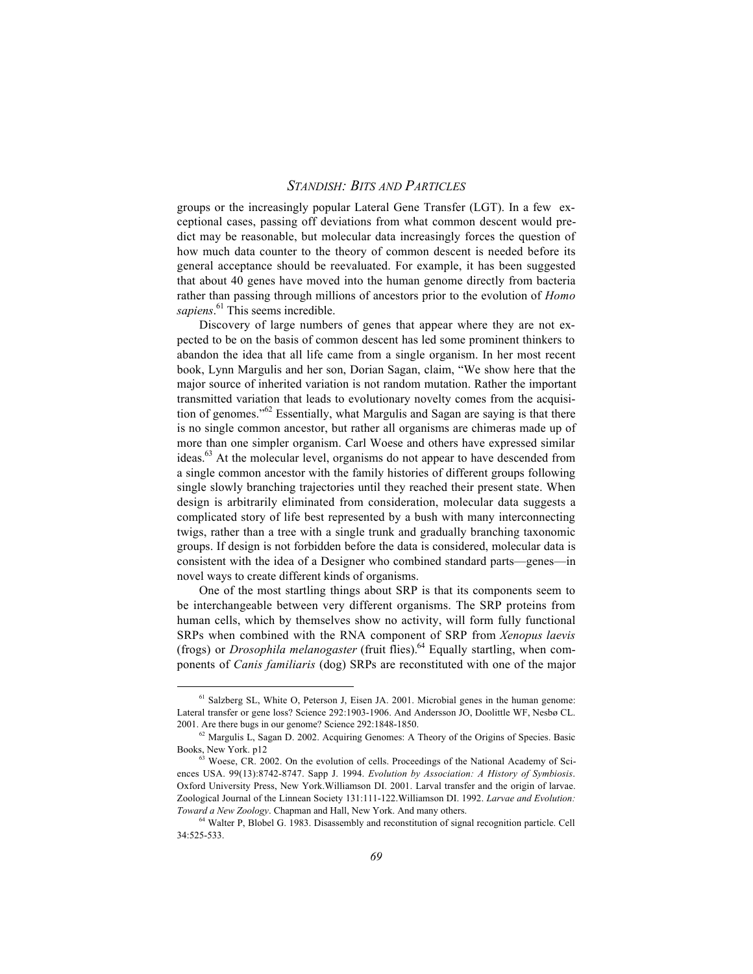groups or the increasingly popular Lateral Gene Transfer (LGT). In a few exceptional cases, passing off deviations from what common descent would predict may be reasonable, but molecular data increasingly forces the question of how much data counter to the theory of common descent is needed before its general acceptance should be reevaluated. For example, it has been suggested that about 40 genes have moved into the human genome directly from bacteria rather than passing through millions of ancestors prior to the evolution of *Homo sapiens*. 61 This seems incredible.

Discovery of large numbers of genes that appear where they are not expected to be on the basis of common descent has led some prominent thinkers to abandon the idea that all life came from a single organism. In her most recent book, Lynn Margulis and her son, Dorian Sagan, claim, "We show here that the major source of inherited variation is not random mutation. Rather the important transmitted variation that leads to evolutionary novelty comes from the acquisition of genomes."62 Essentially, what Margulis and Sagan are saying is that there is no single common ancestor, but rather all organisms are chimeras made up of more than one simpler organism. Carl Woese and others have expressed similar ideas.<sup>63</sup> At the molecular level, organisms do not appear to have descended from a single common ancestor with the family histories of different groups following single slowly branching trajectories until they reached their present state. When design is arbitrarily eliminated from consideration, molecular data suggests a complicated story of life best represented by a bush with many interconnecting twigs, rather than a tree with a single trunk and gradually branching taxonomic groups. If design is not forbidden before the data is considered, molecular data is consistent with the idea of a Designer who combined standard parts—genes—in novel ways to create different kinds of organisms.

One of the most startling things about SRP is that its components seem to be interchangeable between very different organisms. The SRP proteins from human cells, which by themselves show no activity, will form fully functional SRPs when combined with the RNA component of SRP from *Xenopus laevis* (frogs) or *Drosophila melanogaster* (fruit flies).<sup>64</sup> Equally startling, when components of *Canis familiaris* (dog) SRPs are reconstituted with one of the major

<sup>&</sup>lt;sup>61</sup> Salzberg SL, White O, Peterson J, Eisen JA. 2001. Microbial genes in the human genome: Lateral transfer or gene loss? Science 292:1903-1906. And Andersson JO, Doolittle WF, Nesbø CL. 2001. Are there bugs in our genome? Science 292:1848-1850.

<sup>62</sup> Margulis L, Sagan D. 2002. Acquiring Genomes: A Theory of the Origins of Species. Basic Books, New York. p12

<sup>&</sup>lt;sup>63</sup> Woese, CR. 2002. On the evolution of cells. Proceedings of the National Academy of Sciences USA. 99(13):8742-8747. Sapp J. 1994. *Evolution by Association: A History of Symbiosis*. Oxford University Press, New York.Williamson DI. 2001. Larval transfer and the origin of larvae. Zoological Journal of the Linnean Society 131:111-122.Williamson DI. 1992. *Larvae and Evolution: Toward a New Zoology*. Chapman and Hall, New York. And many others.

<sup>64</sup> Walter P, Blobel G. 1983. Disassembly and reconstitution of signal recognition particle. Cell 34:525-533.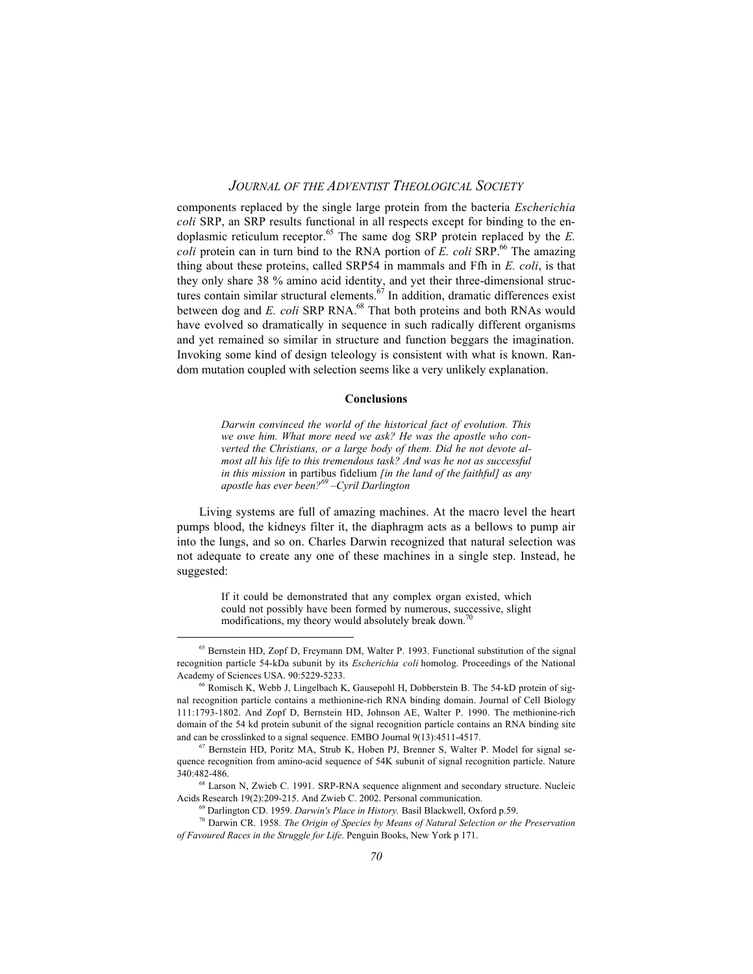components replaced by the single large protein from the bacteria *Escherichia coli* SRP, an SRP results functional in all respects except for binding to the endoplasmic reticulum receptor.<sup>65</sup> The same dog SRP protein replaced by the  $E$ . *coli* protein can in turn bind to the RNA portion of *E. coli* SRP.<sup>66</sup> The amazing thing about these proteins, called SRP54 in mammals and Ffh in *E. coli*, is that they only share  $38\%$  amino acid identity, and yet their three-dimensional structures contain similar structural elements.<sup>67</sup> In addition, dramatic differences exist between dog and *E. coli* SRP RNA.<sup>68</sup> That both proteins and both RNAs would have evolved so dramatically in sequence in such radically different organisms and yet remained so similar in structure and function beggars the imagination. Invoking some kind of design teleology is consistent with what is known. Random mutation coupled with selection seems like a very unlikely explanation.

#### **Conclusions**

*Darwin convinced the world of the historical fact of evolution. This we owe him. What more need we ask? He was the apostle who converted the Christians, or a large body of them. Did he not devote almost all his life to this tremendous task? And was he not as successful in this mission* in partibus fidelium *[in the land of the faithful] as any apostle has ever been?69 –Cyril Darlington*

Living systems are full of amazing machines. At the macro level the heart pumps blood, the kidneys filter it, the diaphragm acts as a bellows to pump air into the lungs, and so on. Charles Darwin recognized that natural selection was not adequate to create any one of these machines in a single step. Instead, he suggested:

> If it could be demonstrated that any complex organ existed, which could not possibly have been formed by numerous, successive, slight modifications, my theory would absolutely break down.<sup>70</sup>

<sup>&</sup>lt;sup>65</sup> Bernstein HD, Zopf D, Freymann DM, Walter P. 1993. Functional substitution of the signal recognition particle 54-kDa subunit by its *Escherichia coli* homolog. Proceedings of the National Academy of Sciences USA. 90:5229-5233.

<sup>66</sup> Romisch K, Webb J, Lingelbach K, Gausepohl H, Dobberstein B. The 54-kD protein of signal recognition particle contains a methionine-rich RNA binding domain. Journal of Cell Biology 111:1793-1802. And Zopf D, Bernstein HD, Johnson AE, Walter P. 1990. The methionine-rich domain of the 54 kd protein subunit of the signal recognition particle contains an RNA binding site and can be crosslinked to a signal sequence. EMBO Journal 9(13):4511-4517.

<sup>67</sup> Bernstein HD, Poritz MA, Strub K, Hoben PJ, Brenner S, Walter P. Model for signal sequence recognition from amino-acid sequence of 54K subunit of signal recognition particle. Nature 340:482-486.

 $68$  Larson N, Zwieb C. 1991. SRP-RNA sequence alignment and secondary structure. Nucleic Acids Research 19(2):209-215. And Zwieb C. 2002. Personal communication.

<sup>69</sup> Darlington CD. 1959. *Darwin's Place in History.* Basil Blackwell, Oxford p.59.

<sup>70</sup> Darwin CR. 1958. *The Origin of Species by Means of Natural Selection or the Preservation of Favoured Races in the Struggle for Life*. Penguin Books, New York p 171.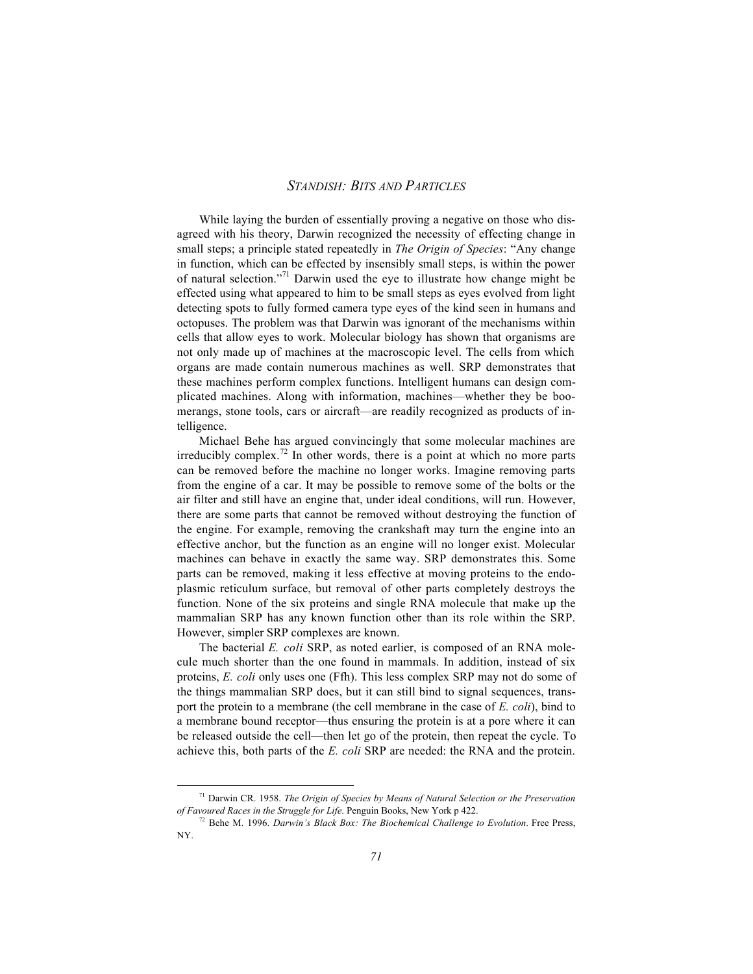While laying the burden of essentially proving a negative on those who disagreed with his theory, Darwin recognized the necessity of effecting change in small steps; a principle stated repeatedly in *The Origin of Species*: "Any change in function, which can be effected by insensibly small steps, is within the power of natural selection."71 Darwin used the eye to illustrate how change might be effected using what appeared to him to be small steps as eyes evolved from light detecting spots to fully formed camera type eyes of the kind seen in humans and octopuses. The problem was that Darwin was ignorant of the mechanisms within cells that allow eyes to work. Molecular biology has shown that organisms are not only made up of machines at the macroscopic level. The cells from which organs are made contain numerous machines as well. SRP demonstrates that these machines perform complex functions. Intelligent humans can design complicated machines. Along with information, machines—whether they be boomerangs, stone tools, cars or aircraft—are readily recognized as products of intelligence.

Michael Behe has argued convincingly that some molecular machines are irreducibly complex.<sup>72</sup> In other words, there is a point at which no more parts can be removed before the machine no longer works. Imagine removing parts from the engine of a car. It may be possible to remove some of the bolts or the air filter and still have an engine that, under ideal conditions, will run. However, there are some parts that cannot be removed without destroying the function of the engine. For example, removing the crankshaft may turn the engine into an effective anchor, but the function as an engine will no longer exist. Molecular machines can behave in exactly the same way. SRP demonstrates this. Some parts can be removed, making it less effective at moving proteins to the endoplasmic reticulum surface, but removal of other parts completely destroys the function. None of the six proteins and single RNA molecule that make up the mammalian SRP has any known function other than its role within the SRP. However, simpler SRP complexes are known.

The bacterial *E. coli* SRP, as noted earlier, is composed of an RNA molecule much shorter than the one found in mammals. In addition, instead of six proteins, *E. coli* only uses one (Ffh). This less complex SRP may not do some of the things mammalian SRP does, but it can still bind to signal sequences, transport the protein to a membrane (the cell membrane in the case of *E. coli*), bind to a membrane bound receptor—thus ensuring the protein is at a pore where it can be released outside the cell—then let go of the protein, then repeat the cycle. To achieve this, both parts of the *E. coli* SRP are needed: the RNA and the protein.

71 Darwin CR. 1958. *The Origin of Species by Means of Natural Selection or the Preservation of Favoured Races in the Struggle for Life*. Penguin Books, New York p 422.

<sup>72</sup> Behe M. 1996. *Darwin's Black Box: The Biochemical Challenge to Evolution*. Free Press, NY.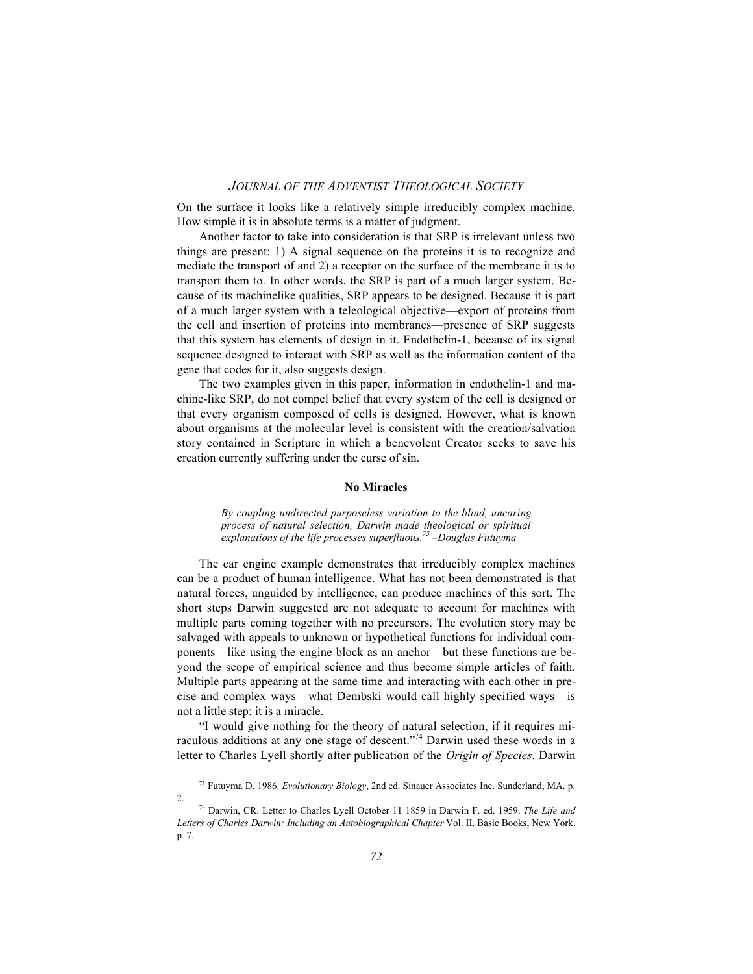On the surface it looks like a relatively simple irreducibly complex machine. How simple it is in absolute terms is a matter of judgment.

Another factor to take into consideration is that SRP is irrelevant unless two things are present: 1) A signal sequence on the proteins it is to recognize and mediate the transport of and 2) a receptor on the surface of the membrane it is to transport them to. In other words, the SRP is part of a much larger system. Because of its machinelike qualities, SRP appears to be designed. Because it is part of a much larger system with a teleological objective—export of proteins from the cell and insertion of proteins into membranes—presence of SRP suggests that this system has elements of design in it. Endothelin-1, because of its signal sequence designed to interact with SRP as well as the information content of the gene that codes for it, also suggests design.

The two examples given in this paper, information in endothelin-1 and machine-like SRP, do not compel belief that every system of the cell is designed or that every organism composed of cells is designed. However, what is known about organisms at the molecular level is consistent with the creation/salvation story contained in Scripture in which a benevolent Creator seeks to save his creation currently suffering under the curse of sin.

#### **No Miracles**

*By coupling undirected purposeless variation to the blind, uncaring process of natural selection, Darwin made theological or spiritual explanations of the life processes superfluous.73 –Douglas Futuyma*

The car engine example demonstrates that irreducibly complex machines can be a product of human intelligence. What has not been demonstrated is that natural forces, unguided by intelligence, can produce machines of this sort. The short steps Darwin suggested are not adequate to account for machines with multiple parts coming together with no precursors. The evolution story may be salvaged with appeals to unknown or hypothetical functions for individual components—like using the engine block as an anchor—but these functions are beyond the scope of empirical science and thus become simple articles of faith. Multiple parts appearing at the same time and interacting with each other in precise and complex ways—what Dembski would call highly specified ways—is not a little step: it is a miracle.

"I would give nothing for the theory of natural selection, if it requires miraculous additions at any one stage of descent."74 Darwin used these words in a letter to Charles Lyell shortly after publication of the *Origin of Species*. Darwin

73 Futuyma D. 1986. *Evolutionary Biology*, 2nd ed. Sinauer Associates Inc. Sunderland, MA. p. 2.

<sup>74</sup> Darwin, CR. Letter to Charles Lyell October 11 1859 in Darwin F. ed. 1959. *The Life and Letters of Charles Darwin: Including an Autobiographical Chapter* Vol. II. Basic Books, New York. p. 7.